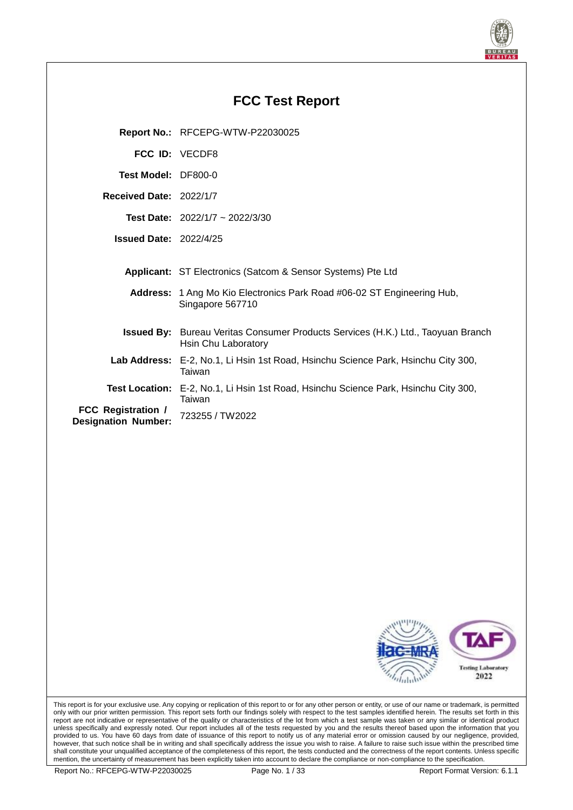

# **FCC Test Report Report No.:** RFCEPG-WTW-P22030025 **FCC ID:** VECDF8 **Test Model:** DF800-0 **Received Date:** 2022/1/7 **Test Date:** 2022/1/7 ~ 2022/3/30 **Issued Date:** 2022/4/25 **Applicant:** ST Electronics (Satcom & Sensor Systems) Pte Ltd **Address:** 1 Ang Mo Kio Electronics Park Road #06-02 ST Engineering Hub, Singapore 567710 **Issued By:** Bureau Veritas Consumer Products Services (H.K.) Ltd., Taoyuan Branch Hsin Chu Laboratory **Lab Address:** E-2, No.1, Li Hsin 1st Road, Hsinchu Science Park, Hsinchu City 300, Taiwan **Test Location:** E-2, No.1, Li Hsin 1st Road, Hsinchu Science Park, Hsinchu City 300, Taiwan **FCC Registration / Designation Number:** <sup>723255</sup> / TW2022



This report is for your exclusive use. Any copying or replication of this report to or for any other person or entity, or use of our name or trademark, is permitted only with our prior written permission. This report sets forth our findings solely with respect to the test samples identified herein. The results set forth in this report are not indicative or representative of the quality or characteristics of the lot from which a test sample was taken or any similar or identical product unless specifically and expressly noted. Our report includes all of the tests requested by you and the results thereof based upon the information that you provided to us. You have 60 days from date of issuance of this report to notify us of any material error or omission caused by our negligence, provided, however, that such notice shall be in writing and shall specifically address the issue you wish to raise. A failure to raise such issue within the prescribed time shall constitute your unqualified acceptance of the completeness of this report, the tests conducted and the correctness of the report contents. Unless specific mention, the uncertainty of measurement has been explicitly taken into account to declare the compliance or non-compliance to the specification.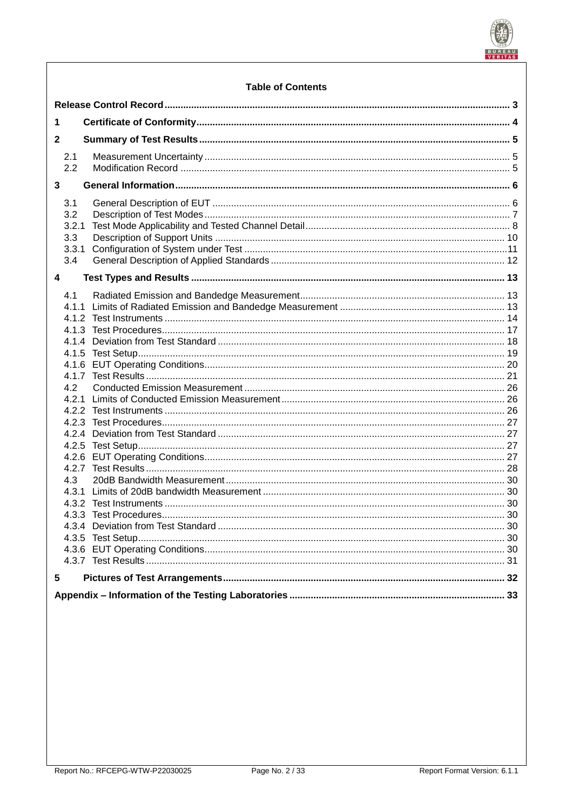

## **Table of Contents**

| 1                       |                                            |  |    |  |
|-------------------------|--------------------------------------------|--|----|--|
|                         | $\mathbf{2}$                               |  |    |  |
|                         | 2.1<br>2.2                                 |  |    |  |
| $\overline{\mathbf{3}}$ |                                            |  |    |  |
|                         | 3.1<br>3.2<br>3.2.1<br>3.3<br>3.3.1<br>3.4 |  |    |  |
| $\overline{\mathbf{4}}$ |                                            |  |    |  |
|                         | 4.1                                        |  |    |  |
|                         |                                            |  |    |  |
|                         |                                            |  |    |  |
|                         |                                            |  |    |  |
|                         |                                            |  |    |  |
|                         | 4.2                                        |  |    |  |
|                         |                                            |  |    |  |
|                         |                                            |  |    |  |
|                         |                                            |  |    |  |
|                         |                                            |  |    |  |
|                         |                                            |  |    |  |
|                         |                                            |  |    |  |
|                         |                                            |  |    |  |
|                         | 4.3                                        |  |    |  |
|                         |                                            |  |    |  |
|                         |                                            |  |    |  |
|                         |                                            |  | 30 |  |
|                         |                                            |  |    |  |
|                         |                                            |  |    |  |
|                         |                                            |  |    |  |
| 5                       |                                            |  |    |  |
|                         |                                            |  |    |  |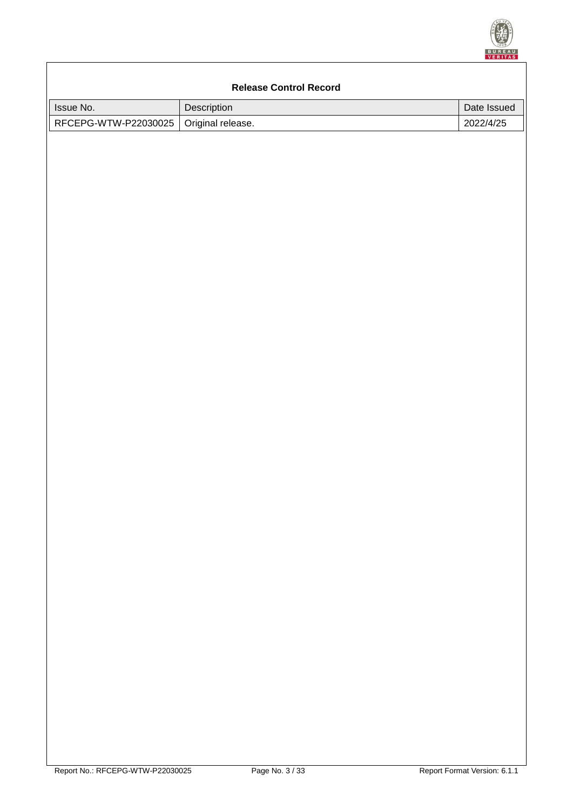

# <span id="page-2-0"></span>**Release Control Record** Issue No. 2008 | Description 2008 | Description 2009 | Date Issued RFCEPG-WTW-P22030025 | Original release. 2022/4/25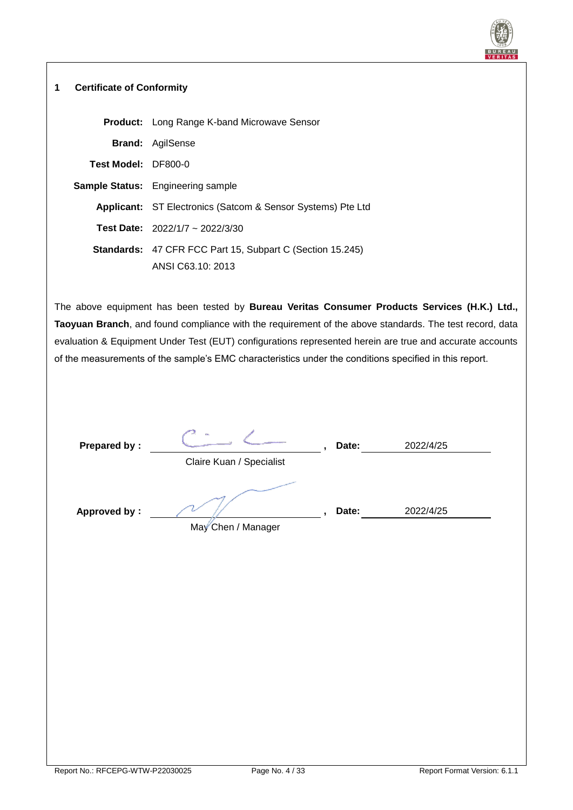

#### <span id="page-3-0"></span>**1 Certificate of Conformity**

|                     | <b>Product:</b> Long Range K-band Microwave Sensor                 |
|---------------------|--------------------------------------------------------------------|
|                     | <b>Brand: AgilSense</b>                                            |
| Test Model: DF800-0 |                                                                    |
|                     | <b>Sample Status:</b> Engineering sample                           |
|                     | <b>Applicant:</b> ST Electronics (Satcom & Sensor Systems) Pte Ltd |
|                     | <b>Test Date:</b> $2022/1/7 \approx 2022/3/30$                     |
|                     | <b>Standards: 47 CFR FCC Part 15, Subpart C (Section 15.245)</b>   |
|                     | ANSI C63.10: 2013                                                  |

The above equipment has been tested by **Bureau Veritas Consumer Products Services (H.K.) Ltd., Taoyuan Branch**, and found compliance with the requirement of the above standards. The test record, data evaluation & Equipment Under Test (EUT) configurations represented herein are true and accurate accounts of the measurements of the sample's EMC characteristics under the conditions specified in this report.

| Prepared by:        | $\mathcal{L}_{\text{max}}$<br>Claire Kuan / Specialist | Date: | 2022/4/25 |  |
|---------------------|--------------------------------------------------------|-------|-----------|--|
| <b>Approved by:</b> | May Chen / Manager                                     | Date: | 2022/4/25 |  |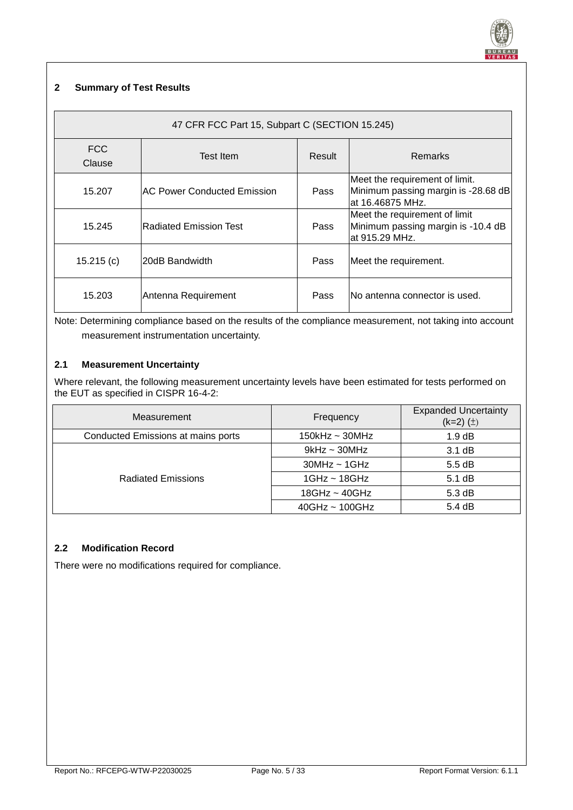

#### <span id="page-4-0"></span>**2 Summary of Test Results**

| 47 CFR FCC Part 15, Subpart C (SECTION 15.245) |                                    |      |                                                                                            |  |  |  |  |
|------------------------------------------------|------------------------------------|------|--------------------------------------------------------------------------------------------|--|--|--|--|
| FCC.<br>Clause                                 | <b>Remarks</b>                     |      |                                                                                            |  |  |  |  |
| 15.207                                         | <b>AC Power Conducted Emission</b> | Pass | Meet the requirement of limit.<br>Minimum passing margin is -28.68 dB<br>lat 16.46875 MHz. |  |  |  |  |
| 15.245                                         | <b>Radiated Emission Test</b>      | Pass | Meet the requirement of limit<br>Minimum passing margin is -10.4 dB<br>lat 915.29 MHz.     |  |  |  |  |
| 15.215(c)                                      | 20dB Bandwidth                     | Pass | Meet the requirement.                                                                      |  |  |  |  |
| 15.203                                         | Antenna Requirement                | Pass | INo antenna connector is used.                                                             |  |  |  |  |

Note: Determining compliance based on the results of the compliance measurement, not taking into account measurement instrumentation uncertainty.

#### <span id="page-4-1"></span>**2.1 Measurement Uncertainty**

Where relevant, the following measurement uncertainty levels have been estimated for tests performed on the EUT as specified in CISPR 16-4-2:

| Measurement                        | Frequency            | <b>Expanded Uncertainty</b><br>$(k=2)$ $(\pm)$ |
|------------------------------------|----------------------|------------------------------------------------|
| Conducted Emissions at mains ports | $150$ kHz ~ $30$ MHz | 1.9 dB                                         |
|                                    | $9$ kHz ~ 30MHz      | 3.1 dB                                         |
|                                    | $30MHz \sim 1GHz$    | $5.5 \text{ dB}$                               |
| <b>Radiated Emissions</b>          | $1$ GHz ~ $18$ GHz   | 5.1 dB                                         |
|                                    | $18GHz - 40GHz$      | $5.3 \text{ dB}$                               |
|                                    | $40GHz \sim 100GHz$  | 5.4dB                                          |

#### <span id="page-4-2"></span>**2.2 Modification Record**

There were no modifications required for compliance.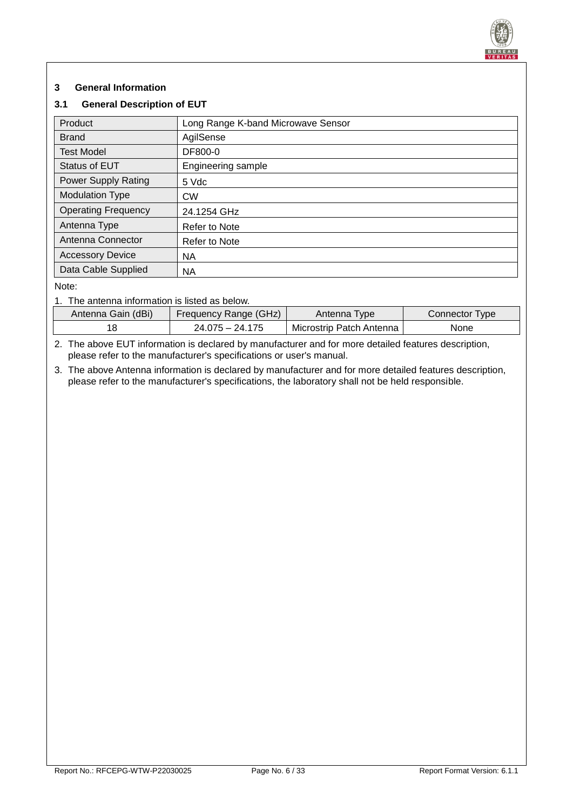

## <span id="page-5-0"></span>**3 General Information**

#### <span id="page-5-1"></span>**3.1 General Description of EUT**

| Product                    | Long Range K-band Microwave Sensor |  |  |
|----------------------------|------------------------------------|--|--|
| <b>Brand</b>               | AgilSense                          |  |  |
| <b>Test Model</b>          | DF800-0                            |  |  |
| <b>Status of EUT</b>       | Engineering sample                 |  |  |
| <b>Power Supply Rating</b> | 5 Vdc                              |  |  |
| <b>Modulation Type</b>     | <b>CW</b>                          |  |  |
| <b>Operating Frequency</b> | 24.1254 GHz                        |  |  |
| Antenna Type               | Refer to Note                      |  |  |
| Antenna Connector          | Refer to Note                      |  |  |
| <b>Accessory Device</b>    | <b>NA</b>                          |  |  |
| Data Cable Supplied        | <b>NA</b>                          |  |  |

Note:

1. The antenna information is listed as below.

| Antenna Gain (dBi) | Frequency Range (GHz) | Antenna Type             | Connector Type |
|--------------------|-----------------------|--------------------------|----------------|
|                    | $24.075 - 24.175$     | Microstrip Patch Antenna | None           |

2. The above EUT information is declared by manufacturer and for more detailed features description, please refer to the manufacturer's specifications or user's manual.

3. The above Antenna information is declared by manufacturer and for more detailed features description, please refer to the manufacturer's specifications, the laboratory shall not be held responsible.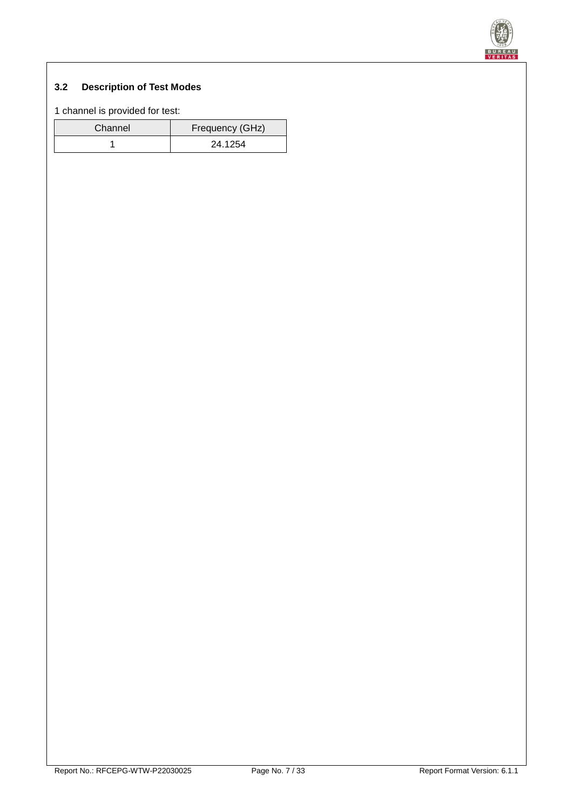

# <span id="page-6-0"></span>**3.2 Description of Test Modes**

1 channel is provided for test:

| Channel | Frequency (GHz) |
|---------|-----------------|
|         | 24.1254         |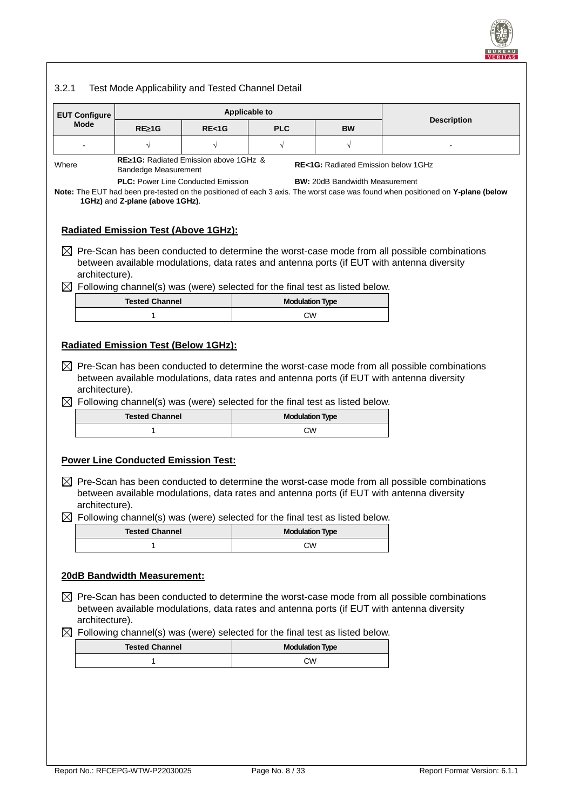

# <span id="page-7-0"></span>3.2.1 Test Mode Applicability and Tested Channel Detail

| <b>EUT Configure</b>          | <b>Applicable to</b>                                                         |         |                                                                                          |                                               |                                                                                                                                                                                                       |  |
|-------------------------------|------------------------------------------------------------------------------|---------|------------------------------------------------------------------------------------------|-----------------------------------------------|-------------------------------------------------------------------------------------------------------------------------------------------------------------------------------------------------------|--|
| Mode                          | $RE\geq 1G$                                                                  | RE < 1G | <b>PLC</b>                                                                               | <b>BW</b>                                     | <b>Description</b>                                                                                                                                                                                    |  |
|                               | √                                                                            |         | $\sqrt{}$                                                                                | $\sqrt{}$                                     |                                                                                                                                                                                                       |  |
| Where                         | RE≥1G: Radiated Emission above 1GHz &<br>Bandedge Measurement                |         |                                                                                          | <b>RE&lt;1G:</b> Radiated Emission below 1GHz |                                                                                                                                                                                                       |  |
|                               | <b>PLC: Power Line Conducted Emission</b>                                    |         |                                                                                          | <b>BW: 20dB Bandwidth Measurement</b>         |                                                                                                                                                                                                       |  |
|                               | 1GHz) and Z-plane (above 1GHz).                                              |         |                                                                                          |                                               | Note: The EUT had been pre-tested on the positioned of each 3 axis. The worst case was found when positioned on Y-plane (below                                                                        |  |
|                               | <b>Radiated Emission Test (Above 1GHz):</b>                                  |         |                                                                                          |                                               |                                                                                                                                                                                                       |  |
| architecture).                |                                                                              |         |                                                                                          |                                               | $\boxtimes$ Pre-Scan has been conducted to determine the worst-case mode from all possible combinations<br>between available modulations, data rates and antenna ports (if EUT with antenna diversity |  |
|                               |                                                                              |         | $\boxtimes$ Following channel(s) was (were) selected for the final test as listed below. |                                               |                                                                                                                                                                                                       |  |
|                               | <b>Tested Channel</b>                                                        |         | <b>Modulation Type</b>                                                                   |                                               |                                                                                                                                                                                                       |  |
|                               | 1                                                                            |         | <b>CW</b>                                                                                |                                               |                                                                                                                                                                                                       |  |
| architecture).                | <b>Radiated Emission Test (Below 1GHz):</b>                                  |         |                                                                                          |                                               | $\boxtimes$ Pre-Scan has been conducted to determine the worst-case mode from all possible combinations<br>between available modulations, data rates and antenna ports (if EUT with antenna diversity |  |
| $\boxtimes$                   | Following channel(s) was (were) selected for the final test as listed below. |         |                                                                                          |                                               |                                                                                                                                                                                                       |  |
|                               | <b>Tested Channel</b>                                                        |         | <b>Modulation Type</b>                                                                   |                                               |                                                                                                                                                                                                       |  |
|                               |                                                                              |         |                                                                                          |                                               |                                                                                                                                                                                                       |  |
|                               | 1                                                                            |         | CW                                                                                       |                                               |                                                                                                                                                                                                       |  |
| architecture).                | <b>Power Line Conducted Emission Test:</b>                                   |         | Following channel(s) was (were) selected for the final test as listed below.             |                                               | $\boxtimes$ Pre-Scan has been conducted to determine the worst-case mode from all possible combinations<br>between available modulations, data rates and antenna ports (if EUT with antenna diversity |  |
|                               | <b>Tested Channel</b>                                                        |         | <b>Modulation Type</b>                                                                   |                                               |                                                                                                                                                                                                       |  |
|                               | 1                                                                            |         | CW                                                                                       |                                               |                                                                                                                                                                                                       |  |
| architecture).                | <b>20dB Bandwidth Measurement:</b>                                           |         |                                                                                          |                                               | Pre-Scan has been conducted to determine the worst-case mode from all possible combinations<br>between available modulations, data rates and antenna ports (if EUT with antenna diversity             |  |
|                               |                                                                              |         | Following channel(s) was (were) selected for the final test as listed below.             |                                               |                                                                                                                                                                                                       |  |
| ⊠<br>$\bowtie$<br>$\boxtimes$ | <b>Tested Channel</b><br>1                                                   |         | <b>Modulation Type</b><br>CW                                                             |                                               |                                                                                                                                                                                                       |  |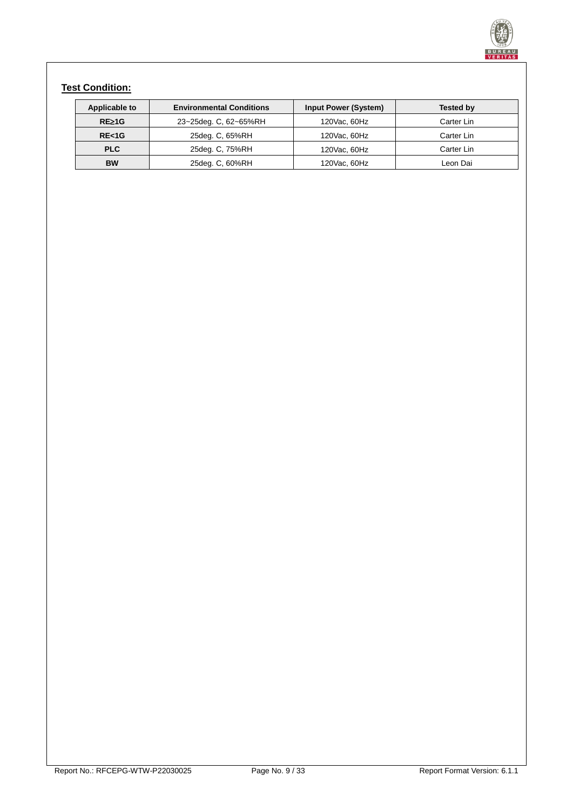

# **Test Condition:**

| Applicable to | <b>Environmental Conditions</b> | <b>Input Power (System)</b> | Tested by  |
|---------------|---------------------------------|-----------------------------|------------|
| $RE\geq 1G$   | 23~25deg. C, 62~65%RH           | 120Vac, 60Hz                | Carter Lin |
| RE < 1G       | 25deg. C, 65%RH                 | 120Vac, 60Hz                | Carter Lin |
| <b>PLC</b>    | 25deg. C, 75%RH                 | 120Vac, 60Hz                | Carter Lin |
| <b>BW</b>     | 25deg. C, 60%RH                 | 120Vac, 60Hz                | Leon Dai   |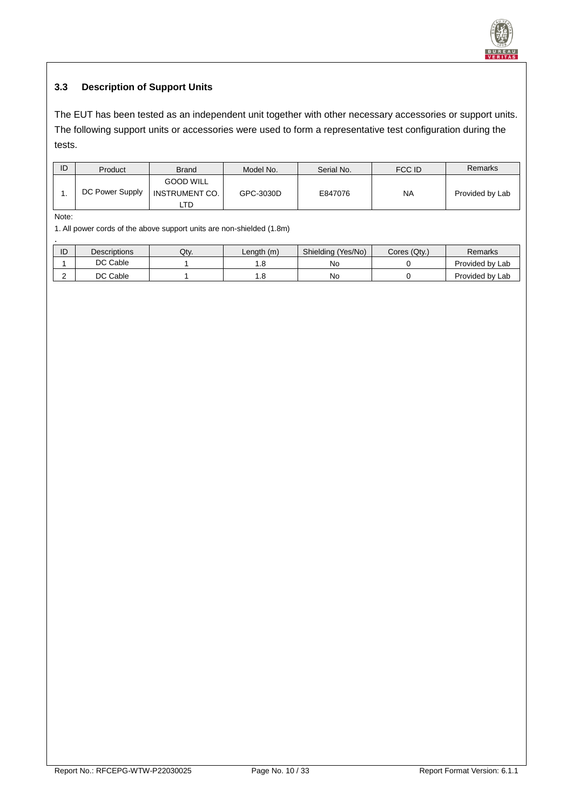

# <span id="page-9-0"></span>**3.3 Description of Support Units**

The EUT has been tested as an independent unit together with other necessary accessories or support units. The following support units or accessories were used to form a representative test configuration during the tests.

| ID | Product         | <b>Brand</b>                                      | Model No. | Serial No. | FCC ID    | Remarks         |
|----|-----------------|---------------------------------------------------|-----------|------------|-----------|-----------------|
|    | DC Power Supply | <b>GOOD WILL</b><br><b>INSTRUMENT CO.</b><br>LTD. | GPC-3030D | E847076    | <b>NA</b> | Provided by Lab |

Note:

1. All power cords of the above support units are non-shielded (1.8m)

| ID | <b>Descriptions</b> | Qtv. | Length(m) | Shielding (Yes/No) | Cores (Qty.) | Remarks         |
|----|---------------------|------|-----------|--------------------|--------------|-----------------|
|    | DC Cable            |      |           | No                 |              | Provided by Lab |
|    | DC Cable            |      | . .8      | No                 |              | Provided by Lab |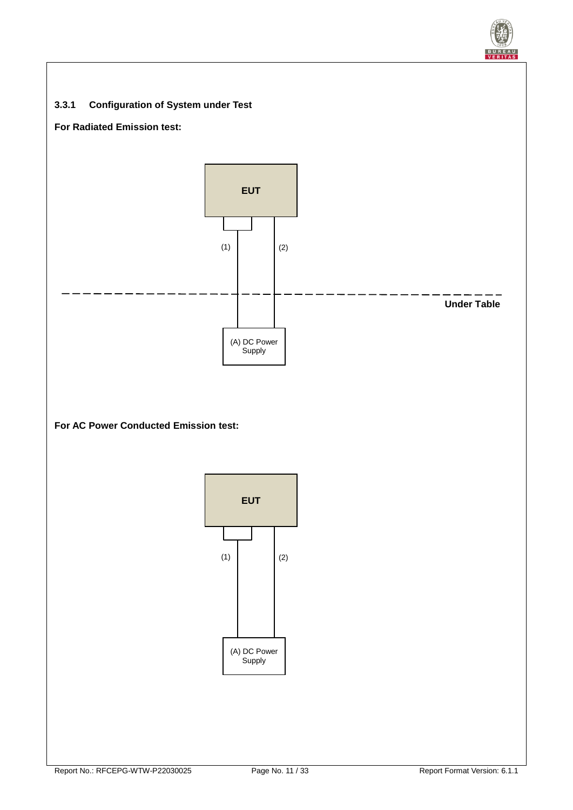<span id="page-10-0"></span>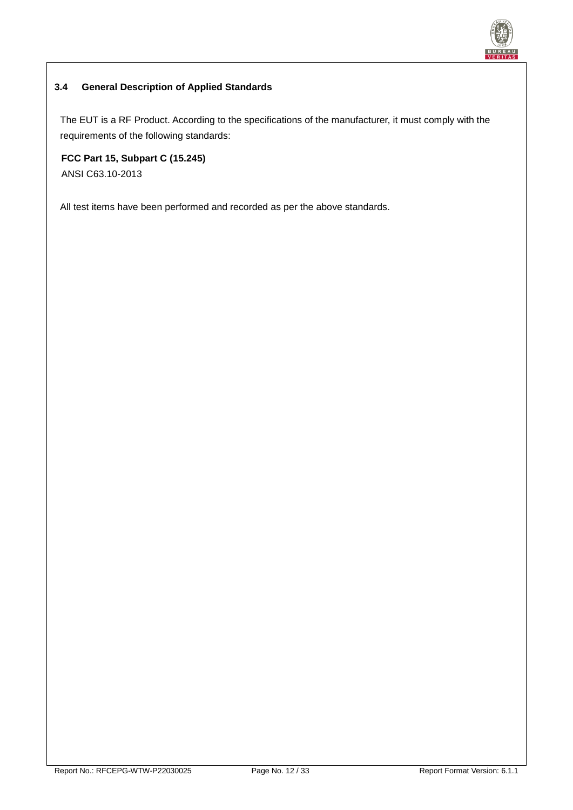![](_page_11_Picture_0.jpeg)

## <span id="page-11-0"></span>**3.4 General Description of Applied Standards**

The EUT is a RF Product. According to the specifications of the manufacturer, it must comply with the requirements of the following standards:

**FCC Part 15, Subpart C (15.245)** ANSI C63.10-2013

All test items have been performed and recorded as per the above standards.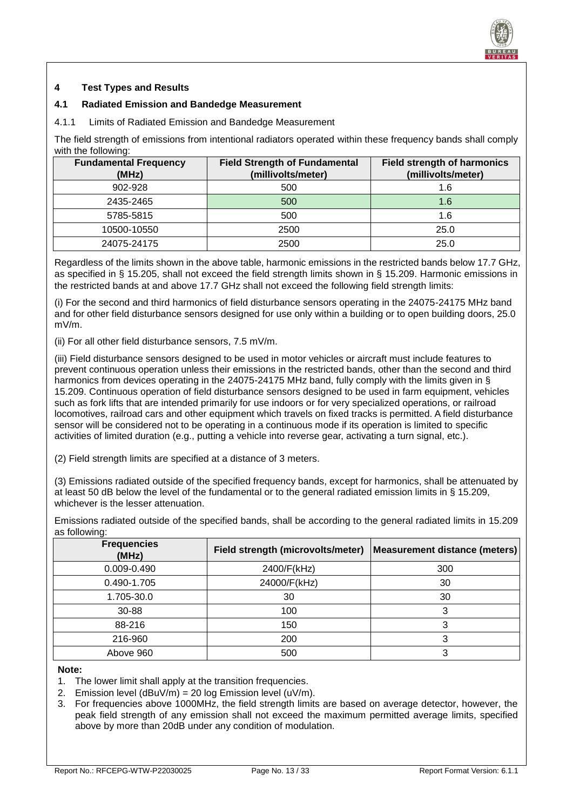![](_page_12_Picture_0.jpeg)

#### <span id="page-12-0"></span>**4 Test Types and Results**

#### <span id="page-12-1"></span>**4.1 Radiated Emission and Bandedge Measurement**

<span id="page-12-2"></span>4.1.1 Limits of Radiated Emission and Bandedge Measurement

The field strength of emissions from intentional radiators operated within these frequency bands shall comply with the following:

| <b>Fundamental Frequency</b><br>(MHz) | <b>Field Strength of Fundamental</b><br>(millivolts/meter) | <b>Field strength of harmonics</b><br>(millivolts/meter) |
|---------------------------------------|------------------------------------------------------------|----------------------------------------------------------|
| 902-928                               | 500                                                        | 1.6                                                      |
| 2435-2465                             | 500                                                        | 1.6                                                      |
| 5785-5815                             | 500                                                        | 1.6                                                      |
| 10500-10550                           | 2500                                                       | 25.0                                                     |
| 24075-24175                           | 2500                                                       | 25.0                                                     |

Regardless of the limits shown in the above table, harmonic emissions in the restricted bands below 17.7 GHz, as specified in § 15.205, shall not exceed the field strength limits shown in § 15.209. Harmonic emissions in the restricted bands at and above 17.7 GHz shall not exceed the following field strength limits:

(i) For the second and third harmonics of field disturbance sensors operating in the 24075-24175 MHz band and for other field disturbance sensors designed for use only within a building or to open building doors, 25.0 mV/m.

(ii) For all other field disturbance sensors, 7.5 mV/m.

(iii) Field disturbance sensors designed to be used in motor vehicles or aircraft must include features to prevent continuous operation unless their emissions in the restricted bands, other than the second and third harmonics from devices operating in the 24075-24175 MHz band, fully comply with the limits given in § 15.209. Continuous operation of field disturbance sensors designed to be used in farm equipment, vehicles such as fork lifts that are intended primarily for use indoors or for very specialized operations, or railroad locomotives, railroad cars and other equipment which travels on fixed tracks is permitted. A field disturbance sensor will be considered not to be operating in a continuous mode if its operation is limited to specific activities of limited duration (e.g., putting a vehicle into reverse gear, activating a turn signal, etc.).

(2) Field strength limits are specified at a distance of 3 meters.

(3) Emissions radiated outside of the specified frequency bands, except for harmonics, shall be attenuated by at least 50 dB below the level of the fundamental or to the general radiated emission limits in § 15.209, whichever is the lesser attenuation.

Emissions radiated outside of the specified bands, shall be according to the general radiated limits in 15.209 as following: **Frequencies (MHz) Field strength (microvolts/meter) Measurement distance (meters)**

| <u>LIGUUGIIUIGS</u><br>(MHz) | Field strength (microvolts/meter)   Measurement distance (meters) |     |
|------------------------------|-------------------------------------------------------------------|-----|
| 0.009-0.490                  | 2400/F(kHz)                                                       | 300 |
| 0.490-1.705                  | 24000/F(kHz)                                                      | 30  |
| 1.705-30.0                   | 30                                                                | 30  |
| 30-88                        | 100                                                               |     |
| 88-216                       | 150                                                               | 3   |
| 216-960                      | 200                                                               |     |
| Above 960                    | 500                                                               |     |

#### **Note:**

- 1. The lower limit shall apply at the transition frequencies.
- 2. Emission level  $(dBuV/m) = 20 log Emission level (uV/m)$ .
- 3. For frequencies above 1000MHz, the field strength limits are based on average detector, however, the peak field strength of any emission shall not exceed the maximum permitted average limits, specified above by more than 20dB under any condition of modulation.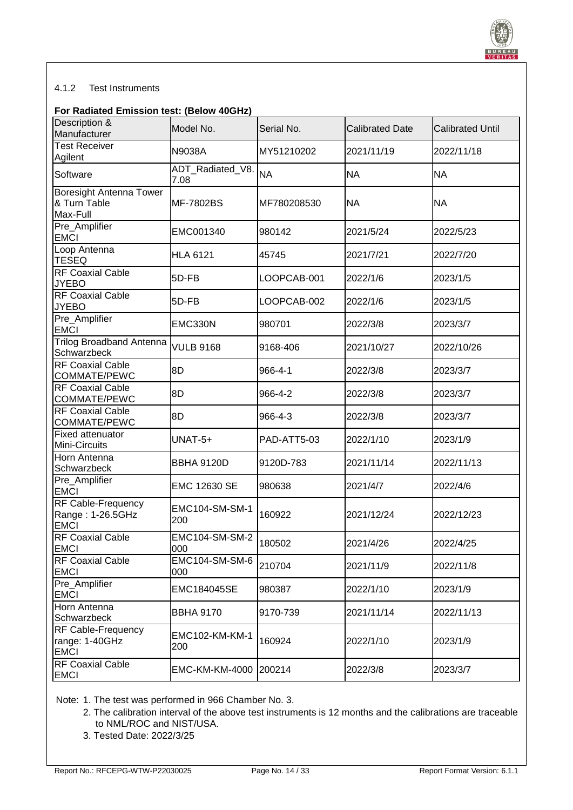![](_page_13_Picture_0.jpeg)

#### <span id="page-13-0"></span>4.1.2 Test Instruments

#### **For Radiated Emission test: (Below 40GHz)**

| Description &<br>Manufacturer                              | Model No.                | Serial No.  | <b>Calibrated Date</b> | <b>Calibrated Until</b> |
|------------------------------------------------------------|--------------------------|-------------|------------------------|-------------------------|
| <b>Test Receiver</b><br>Agilent                            | N9038A                   | MY51210202  | 2021/11/19             | 2022/11/18              |
| Software                                                   | ADT_Radiated_V8.<br>7.08 | <b>NA</b>   | <b>NA</b>              | <b>NA</b>               |
| Boresight Antenna Tower<br>& Turn Table<br>Max-Full        | <b>MF-7802BS</b>         | MF780208530 | <b>NA</b>              | <b>NA</b>               |
| Pre_Amplifier<br><b>EMCI</b>                               | EMC001340                | 980142      | 2021/5/24              | 2022/5/23               |
| Loop Antenna<br><b>TESEQ</b>                               | <b>HLA 6121</b>          | 45745       | 2021/7/21              | 2022/7/20               |
| <b>RF Coaxial Cable</b><br><b>JYEBO</b>                    | 5D-FB                    | LOOPCAB-001 | 2022/1/6               | 2023/1/5                |
| <b>RF Coaxial Cable</b><br><b>JYEBO</b>                    | 5D-FB                    | LOOPCAB-002 | 2022/1/6               | 2023/1/5                |
| Pre_Amplifier<br><b>EMCI</b>                               | EMC330N                  | 980701      | 2022/3/8               | 2023/3/7                |
| <b>Trilog Broadband Antenna</b><br>Schwarzbeck             | <b>VULB 9168</b>         | 9168-406    | 2021/10/27             | 2022/10/26              |
| <b>RF Coaxial Cable</b><br>COMMATE/PEWC                    | 8D                       | 966-4-1     | 2022/3/8               | 2023/3/7                |
| <b>RF Coaxial Cable</b><br>COMMATE/PEWC                    | 8D                       | 966-4-2     | 2022/3/8               | 2023/3/7                |
| <b>RF Coaxial Cable</b><br>COMMATE/PEWC                    | 8D                       | 966-4-3     | 2022/3/8               | 2023/3/7                |
| <b>Fixed attenuator</b><br>Mini-Circuits                   | $UNAT-5+$                | PAD-ATT5-03 | 2022/1/10              | 2023/1/9                |
| Horn Antenna<br>Schwarzbeck                                | <b>BBHA 9120D</b>        | 9120D-783   | 2021/11/14             | 2022/11/13              |
| Pre_Amplifier<br><b>EMCI</b>                               | EMC 12630 SE             | 980638      | 2021/4/7               | 2022/4/6                |
| RF Cable-Frequency<br>Range: 1-26.5GHz<br><b>EMCI</b>      | EMC104-SM-SM-1<br>200    | 160922      | 2021/12/24             | 2022/12/23              |
| <b>RF Coaxial Cable</b><br><b>EMCI</b>                     | EMC104-SM-SM-2<br>000    | 180502      | 2021/4/26              | 2022/4/25               |
| <b>RF Coaxial Cable</b><br><b>EMCI</b>                     | EMC104-SM-SM-6<br>000    | 210704      | 2021/11/9              | 2022/11/8               |
| Pre_Amplifier<br><b>EMCI</b>                               | EMC184045SE              | 980387      | 2022/1/10              | 2023/1/9                |
| Horn Antenna<br>Schwarzbeck                                | <b>BBHA 9170</b>         | 9170-739    | 2021/11/14             | 2022/11/13              |
| <b>RF Cable-Frequency</b><br>range: 1-40GHz<br><b>EMCI</b> | EMC102-KM-KM-1<br>200    | 160924      | 2022/1/10              | 2023/1/9                |
| <b>RF Coaxial Cable</b><br><b>EMCI</b>                     | <b>EMC-KM-KM-4000</b>    | 200214      | 2022/3/8               | 2023/3/7                |

Note: 1. The test was performed in 966 Chamber No. 3.

- 2. The calibration interval of the above test instruments is 12 months and the calibrations are traceable to NML/ROC and NIST/USA.
- 3. Tested Date: 2022/3/25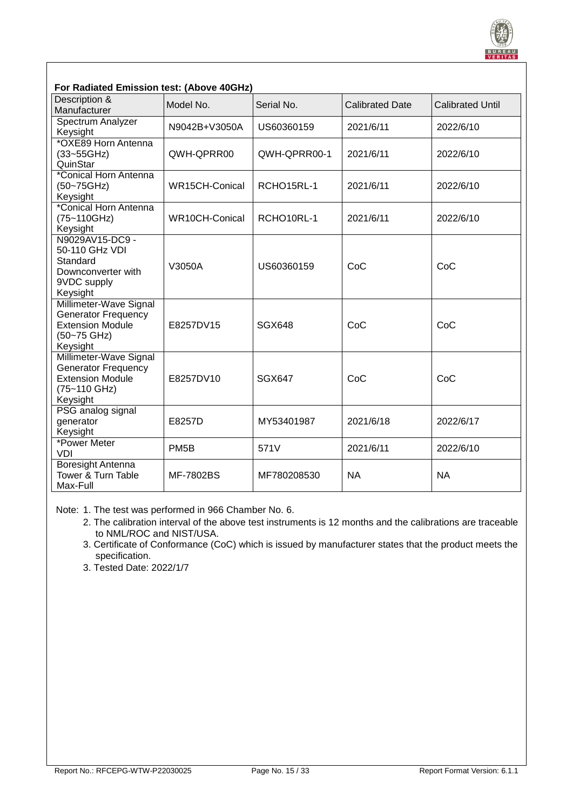![](_page_14_Picture_0.jpeg)

| For Radiated Emission test: (Above 40GHz)                                                                   |                   |               |                        |                         |  |  |  |  |
|-------------------------------------------------------------------------------------------------------------|-------------------|---------------|------------------------|-------------------------|--|--|--|--|
| Description &<br>Manufacturer                                                                               | Model No.         | Serial No.    | <b>Calibrated Date</b> | <b>Calibrated Until</b> |  |  |  |  |
| Spectrum Analyzer<br>Keysight                                                                               | N9042B+V3050A     | US60360159    | 2021/6/11              | 2022/6/10               |  |  |  |  |
| *OXE89 Horn Antenna<br>(33~55GHz)<br>QuinStar                                                               | QWH-QPRR00        | QWH-QPRR00-1  | 2021/6/11              | 2022/6/10               |  |  |  |  |
| *Conical Horn Antenna<br>(50~75GHz)<br>Keysight                                                             | WR15CH-Conical    | RCHO15RL-1    | 2021/6/11              | 2022/6/10               |  |  |  |  |
| *Conical Horn Antenna<br>(75~110GHz)<br>Keysight                                                            | WR10CH-Conical    | RCHO10RL-1    | 2021/6/11              | 2022/6/10               |  |  |  |  |
| N9029AV15-DC9 -<br>50-110 GHz VDI<br>Standard<br>Downconverter with<br>9VDC supply<br>Keysight              | V3050A            | US60360159    | CoC                    | CoC                     |  |  |  |  |
| Millimeter-Wave Signal<br><b>Generator Frequency</b><br><b>Extension Module</b><br>(50~75 GHz)<br>Keysight  | E8257DV15         | <b>SGX648</b> | CoC                    | CoC                     |  |  |  |  |
| Millimeter-Wave Signal<br><b>Generator Frequency</b><br><b>Extension Module</b><br>(75~110 GHz)<br>Keysight | E8257DV10         | <b>SGX647</b> | CoC                    | CoC                     |  |  |  |  |
| PSG analog signal<br>generator<br>Keysight                                                                  | E8257D            | MY53401987    | 2021/6/18              | 2022/6/17               |  |  |  |  |
| *Power Meter<br><b>VDI</b>                                                                                  | PM <sub>5</sub> B | 571V          | 2021/6/11              | 2022/6/10               |  |  |  |  |
| Boresight Antenna<br>Tower & Turn Table<br>Max-Full                                                         | <b>MF-7802BS</b>  | MF780208530   | <b>NA</b>              | <b>NA</b>               |  |  |  |  |

Note: 1. The test was performed in 966 Chamber No. 6.

- 2. The calibration interval of the above test instruments is 12 months and the calibrations are traceable to NML/ROC and NIST/USA.
- 3. Certificate of Conformance (CoC) which is issued by manufacturer states that the product meets the specification.
- 3. Tested Date: 2022/1/7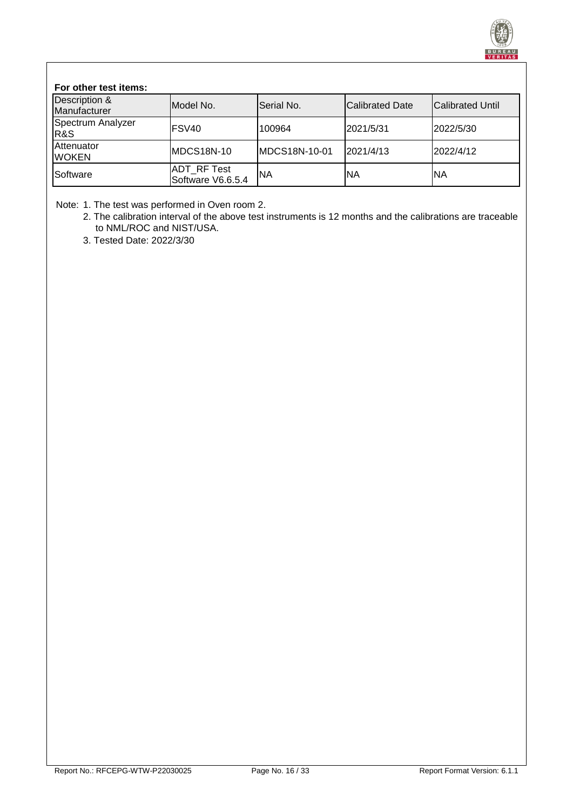![](_page_15_Picture_0.jpeg)

#### **For other test items:**

| Description &<br>Manufacturer       | Model No.                               | Serial No.    | <b>Calibrated Date</b> | <b>Calibrated Until</b> |
|-------------------------------------|-----------------------------------------|---------------|------------------------|-------------------------|
| Spectrum Analyzer<br><b>R&amp;S</b> | <b>IFSV40</b>                           | 100964        | 2021/5/31              | 2022/5/30               |
| <b>Attenuator</b><br><b>WOKEN</b>   | <b>MDCS18N-10</b>                       | MDCS18N-10-01 | 2021/4/13              | 2022/4/12               |
| Software                            | <b>ADT RF Test</b><br>Software V6.6.5.4 | lΝA           | ΝA                     | <b>NA</b>               |

Note: 1. The test was performed in Oven room 2.

2. The calibration interval of the above test instruments is 12 months and the calibrations are traceable to NML/ROC and NIST/USA.

3. Tested Date: 2022/3/30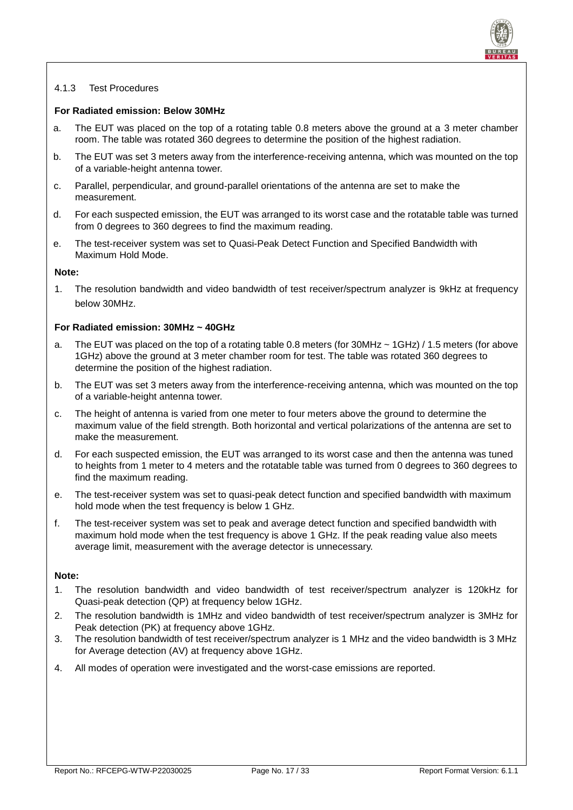![](_page_16_Picture_0.jpeg)

#### <span id="page-16-0"></span>4.1.3 Test Procedures

#### **For Radiated emission: Below 30MHz**

- a. The EUT was placed on the top of a rotating table 0.8 meters above the ground at a 3 meter chamber room. The table was rotated 360 degrees to determine the position of the highest radiation.
- b. The EUT was set 3 meters away from the interference-receiving antenna, which was mounted on the top of a variable-height antenna tower.
- c. Parallel, perpendicular, and ground-parallel orientations of the antenna are set to make the measurement.
- d. For each suspected emission, the EUT was arranged to its worst case and the rotatable table was turned from 0 degrees to 360 degrees to find the maximum reading.
- e. The test-receiver system was set to Quasi-Peak Detect Function and Specified Bandwidth with Maximum Hold Mode.

#### **Note:**

1. The resolution bandwidth and video bandwidth of test receiver/spectrum analyzer is 9kHz at frequency below 30MHz.

#### **For Radiated emission: 30MHz ~ 40GHz**

- a. The EUT was placed on the top of a rotating table 0.8 meters (for 30MHz ~ 1GHz) / 1.5 meters (for above 1GHz) above the ground at 3 meter chamber room for test. The table was rotated 360 degrees to determine the position of the highest radiation.
- b. The EUT was set 3 meters away from the interference-receiving antenna, which was mounted on the top of a variable-height antenna tower.
- c. The height of antenna is varied from one meter to four meters above the ground to determine the maximum value of the field strength. Both horizontal and vertical polarizations of the antenna are set to make the measurement.
- d. For each suspected emission, the EUT was arranged to its worst case and then the antenna was tuned to heights from 1 meter to 4 meters and the rotatable table was turned from 0 degrees to 360 degrees to find the maximum reading.
- e. The test-receiver system was set to quasi-peak detect function and specified bandwidth with maximum hold mode when the test frequency is below 1 GHz.
- f. The test-receiver system was set to peak and average detect function and specified bandwidth with maximum hold mode when the test frequency is above 1 GHz. If the peak reading value also meets average limit, measurement with the average detector is unnecessary.

#### **Note:**

- 1. The resolution bandwidth and video bandwidth of test receiver/spectrum analyzer is 120kHz for Quasi-peak detection (QP) at frequency below 1GHz.
- 2. The resolution bandwidth is 1MHz and video bandwidth of test receiver/spectrum analyzer is 3MHz for Peak detection (PK) at frequency above 1GHz.
- 3. The resolution bandwidth of test receiver/spectrum analyzer is 1 MHz and the video bandwidth is 3 MHz for Average detection (AV) at frequency above 1GHz.
- 4. All modes of operation were investigated and the worst-case emissions are reported.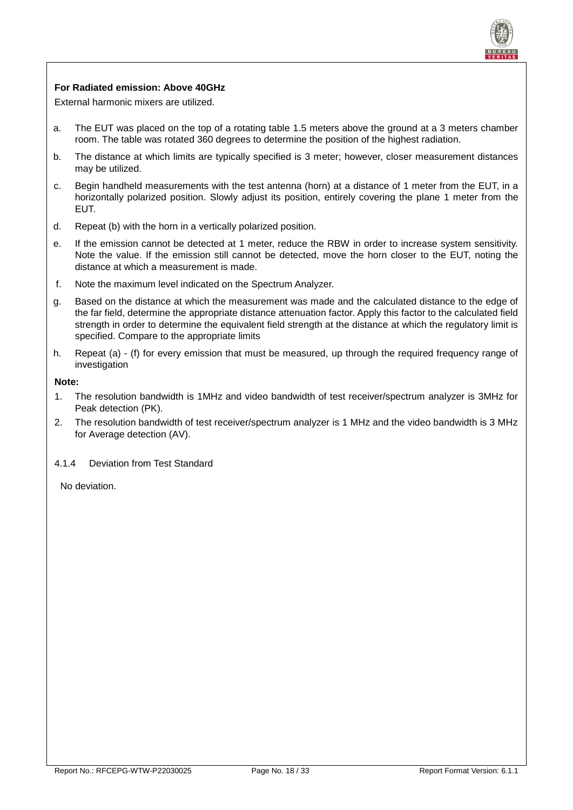![](_page_17_Picture_0.jpeg)

#### **For Radiated emission: Above 40GHz**

External harmonic mixers are utilized.

- a. The EUT was placed on the top of a rotating table 1.5 meters above the ground at a 3 meters chamber room. The table was rotated 360 degrees to determine the position of the highest radiation.
- b. The distance at which limits are typically specified is 3 meter; however, closer measurement distances may be utilized.
- c. Begin handheld measurements with the test antenna (horn) at a distance of 1 meter from the EUT, in a horizontally polarized position. Slowly adjust its position, entirely covering the plane 1 meter from the EUT.
- d. Repeat (b) with the horn in a vertically polarized position.
- e. If the emission cannot be detected at 1 meter, reduce the RBW in order to increase system sensitivity. Note the value. If the emission still cannot be detected, move the horn closer to the EUT, noting the distance at which a measurement is made.
- f. Note the maximum level indicated on the Spectrum Analyzer.
- g. Based on the distance at which the measurement was made and the calculated distance to the edge of the far field, determine the appropriate distance attenuation factor. Apply this factor to the calculated field strength in order to determine the equivalent field strength at the distance at which the regulatory limit is specified. Compare to the appropriate limits
- h. Repeat (a) (f) for every emission that must be measured, up through the required frequency range of investigation

#### **Note:**

- 1. The resolution bandwidth is 1MHz and video bandwidth of test receiver/spectrum analyzer is 3MHz for Peak detection (PK).
- 2. The resolution bandwidth of test receiver/spectrum analyzer is 1 MHz and the video bandwidth is 3 MHz for Average detection (AV).

#### <span id="page-17-0"></span>4.1.4 Deviation from Test Standard

No deviation.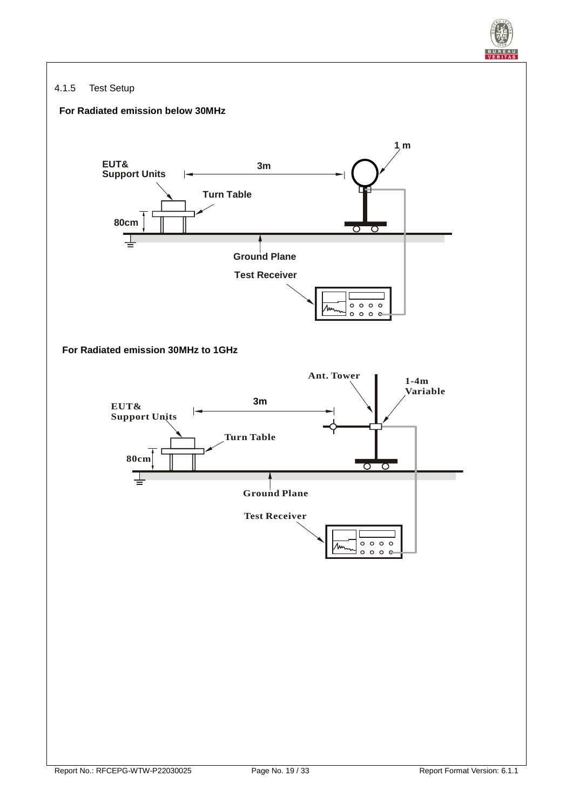![](_page_18_Picture_0.jpeg)

#### <span id="page-18-0"></span>4.1.5 Test Setup

![](_page_18_Figure_2.jpeg)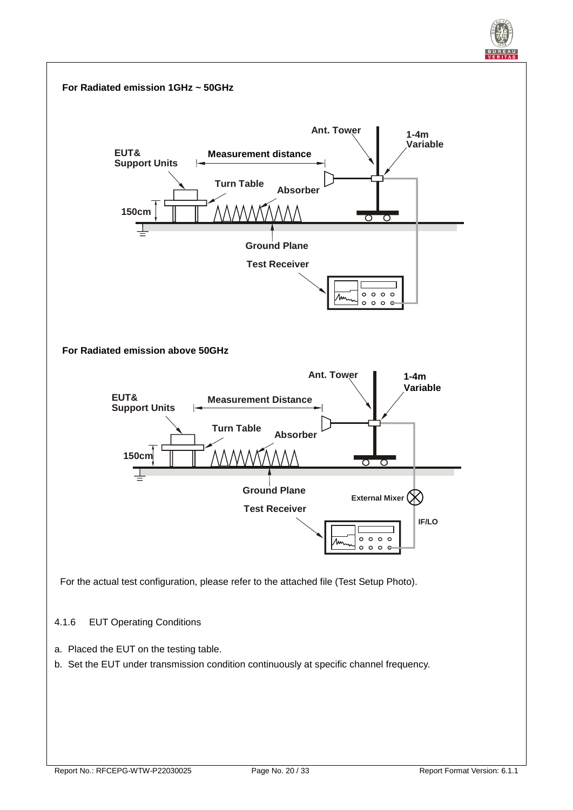![](_page_19_Figure_0.jpeg)

- <span id="page-19-0"></span>a. Placed the EUT on the testing table.
- b. Set the EUT under transmission condition continuously at specific channel frequency.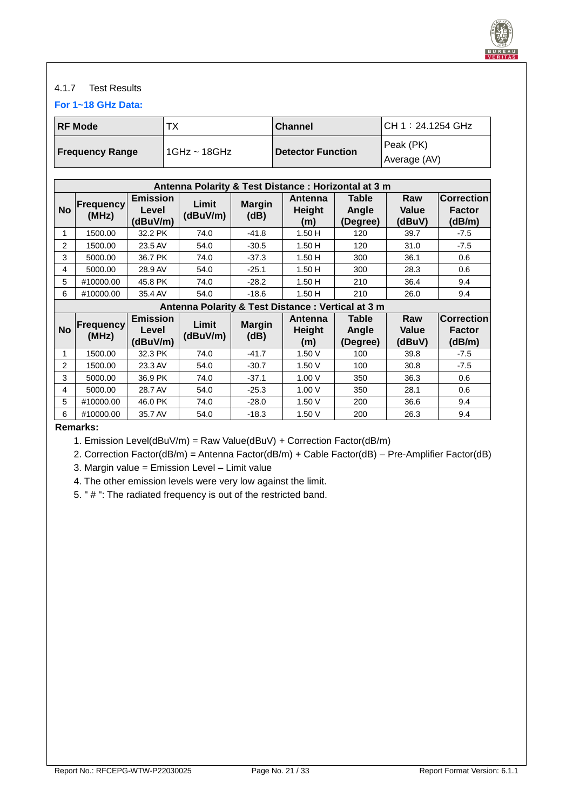![](_page_20_Picture_0.jpeg)

#### <span id="page-20-0"></span>4.1.7 Test Results

**For 1~18 GHz Data:**

| <b>RF Mode</b>         | ТX             | <b>Channel</b>           | CH 1:24.1254 GHz |  |
|------------------------|----------------|--------------------------|------------------|--|
|                        | l 1GHz ~ 18GHz | <b>Detector Function</b> | Peak (PK)        |  |
| <b>Frequency Range</b> |                |                          | Average (AV)     |  |

|               | Antenna Polarity & Test Distance : Horizontal at 3 m |                                      |                   |                       |                                                   |                            |                               |                                       |
|---------------|------------------------------------------------------|--------------------------------------|-------------------|-----------------------|---------------------------------------------------|----------------------------|-------------------------------|---------------------------------------|
| <b>No</b>     | <b>Frequency</b><br>(MHz)                            | <b>Emission</b><br>Level<br>(dBuV/m) | Limit<br>(dBuV/m) | <b>Margin</b><br>(dB) | Antenna<br><b>Height</b><br>(m)                   | Table<br>Angle<br>(Degree) | Raw<br><b>Value</b><br>(dBuV) | <b>Correction</b><br>Factor<br>(dB/m) |
| 1             | 1500.00                                              | 32.2 PK                              | 74.0              | $-41.8$               | 1.50H                                             | 120                        | 39.7                          | $-7.5$                                |
| $\mathcal{P}$ | 1500.00                                              | 23.5 AV                              | 54.0              | $-30.5$               | 1.50H                                             | 120                        | 31.0                          | $-7.5$                                |
| 3             | 5000.00                                              | 36.7 PK                              | 74.0              | $-37.3$               | 1.50H                                             | 300                        | 36.1                          | 0.6                                   |
| 4             | 5000.00                                              | 28.9 AV                              | 54.0              | $-25.1$               | 1.50H                                             | 300                        | 28.3                          | 0.6                                   |
| 5             | #10000.00                                            | 45.8 PK                              | 74.0              | $-28.2$               | 1.50H                                             | 210                        | 36.4                          | 9.4                                   |
| 6             | #10000.00                                            | 35.4 AV                              | 54.0              | $-18.6$               | 1.50H                                             | 210                        | 26.0                          | 9.4                                   |
|               |                                                      |                                      |                   |                       | Antenna Polarity & Test Distance: Vertical at 3 m |                            |                               |                                       |
| <b>No</b>     | <b>Frequency</b><br>(MHz)                            | <b>Emission</b><br>Level<br>(dBuV/m) | Limit<br>(dBuV/m) | <b>Margin</b><br>(dB) | Antenna<br><b>Height</b><br>(m)                   | Table<br>Angle<br>(Degree) | Raw<br>Value<br>(dBuV)        | <b>Correction</b><br>Factor<br>(dB/m) |
| 1             | 1500.00                                              | 32.3 PK                              | 74.0              | $-41.7$               | 1.50V                                             | 100                        | 39.8                          | $-7.5$                                |
| $\mathcal{P}$ | 1500.00                                              | 23.3 AV                              | 54.0              | $-30.7$               | 1.50V                                             | 100                        | 30.8                          | $-7.5$                                |
| 3             | 5000.00                                              | 36.9 PK                              | 74.0              | $-37.1$               | 1.00V                                             | 350                        | 36.3                          | 0.6                                   |
| 4             | 5000.00                                              | 28.7 AV                              | 54.0              | $-25.3$               | 1.00V                                             | 350                        | 28.1                          | 0.6                                   |
| 5.            | #10000.00                                            | 46.0 PK                              | 74.0              | $-28.0$               | 1.50V                                             | 200                        | 36.6                          | 9.4                                   |
| 6             | #10000.00                                            | 35.7 AV                              | 54.0              | $-18.3$               | 1.50V                                             | 200                        | 26.3                          | 9.4                                   |

**Remarks:**

1. Emission Level(dBuV/m) = Raw Value(dBuV) + Correction Factor(dB/m)

2. Correction Factor(dB/m) = Antenna Factor(dB/m) + Cable Factor(dB) – Pre-Amplifier Factor(dB)

3. Margin value = Emission Level – Limit value

4. The other emission levels were very low against the limit.

5. " # ": The radiated frequency is out of the restricted band.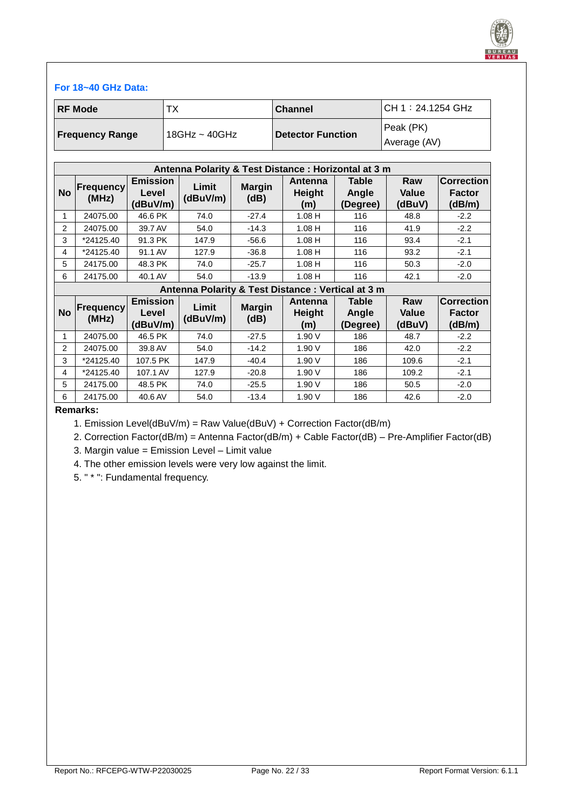![](_page_21_Picture_0.jpeg)

#### **For 18~40 GHz Data:**

| <b>IRF Mode</b>        | тх            | <b>Channel</b>    | CH 1:24.1254 GHz |
|------------------------|---------------|-------------------|------------------|
| <b>Frequency Range</b> | 18GHz ~ 40GHz | Detector Function | Peak (PK)        |
|                        |               |                   | Average (AV)     |

|           | Antenna Polarity & Test Distance: Horizontal at 3 m |                                      |                                                    |                       |                                        |                                   |                               |                                              |
|-----------|-----------------------------------------------------|--------------------------------------|----------------------------------------------------|-----------------------|----------------------------------------|-----------------------------------|-------------------------------|----------------------------------------------|
| <b>No</b> | <b>Frequency</b><br>(MHz)                           | <b>Emission</b><br>Level<br>(dBuV/m) | Limit<br>(dBuV/m)                                  | <b>Margin</b><br>(dB) | Antenna<br><b>Height</b><br>(m)        | <b>Table</b><br>Angle<br>(Degree) | Raw<br><b>Value</b><br>(dBuV) | <b>Correction</b><br><b>Factor</b><br>(dB/m) |
| 1         | 24075.00                                            | 46.6 PK                              | 74.0                                               | $-27.4$               | $1.08$ H                               | 116                               | 48.8                          | $-2.2$                                       |
| 2         | 24075.00                                            | 39.7 AV                              | 54.0                                               | $-14.3$               | $1.08$ H                               | 116                               | 41.9                          | $-2.2$                                       |
| 3         | *24125.40                                           | 91.3 PK                              | 147.9                                              | $-56.6$               | $1.08$ H                               | 116                               | 93.4                          | $-2.1$                                       |
| 4         | *24125.40                                           | 91.1 AV                              | 127.9                                              | $-36.8$               | $1.08$ H                               | 116                               | 93.2                          | $-2.1$                                       |
| 5         | 24175.00                                            | 48.3 PK                              | 74.0                                               | $-25.7$               | $1.08$ H                               | 116                               | 50.3                          | $-2.0$                                       |
| 6         | 24175.00                                            | 40.1 AV                              | 54.0                                               | $-13.9$               | $1.08$ H                               | 116                               | 42.1                          | $-2.0$                                       |
|           |                                                     |                                      | Antenna Polarity & Test Distance : Vertical at 3 m |                       |                                        |                                   |                               |                                              |
| <b>No</b> | <b>Frequency</b><br>(MHz)                           | <b>Emission</b><br>Level<br>(dBuV/m) | Limit<br>(dBuV/m)                                  | <b>Margin</b><br>(dB) | <b>Antenna</b><br><b>Height</b><br>(m) | Table<br>Angle<br>(Degree)        | Raw<br><b>Value</b><br>(dBuV) | <b>Correction</b><br>Factor<br>(dB/m)        |
| 1         | 24075.00                                            | 46.5 PK                              | 74.0                                               | $-27.5$               | 1.90 V                                 | 186                               | 48.7                          | $-2.2$                                       |
| 2         | 24075.00                                            | 39.8 AV                              | 54.0                                               | $-14.2$               | 1.90 V                                 | 186                               | 42.0                          | $-2.2$                                       |
| 3         | *24125.40                                           | 107.5 PK                             | 147.9                                              | $-40.4$               | 1.90 V                                 | 186                               | 109.6                         | $-2.1$                                       |
| 4         | *24125.40                                           | 107.1 AV                             | 127.9                                              | $-20.8$               | 1.90 V                                 | 186                               | 109.2                         | $-2.1$                                       |
| 5         | 24175.00                                            | 48.5 PK                              | 74.0                                               | $-25.5$               | 1.90 V                                 | 186                               | 50.5                          | $-2.0$                                       |
| 6         | 24175.00                                            | 40.6 AV                              | 54.0                                               | $-13.4$               | 1.90 V                                 | 186                               | 42.6                          | $-2.0$                                       |

**Remarks:**

1. Emission Level(dBuV/m) = Raw Value(dBuV) + Correction Factor(dB/m)

2. Correction Factor(dB/m) = Antenna Factor(dB/m) + Cable Factor(dB) – Pre-Amplifier Factor(dB)

3. Margin value = Emission Level – Limit value

4. The other emission levels were very low against the limit.

5. " \* ": Fundamental frequency.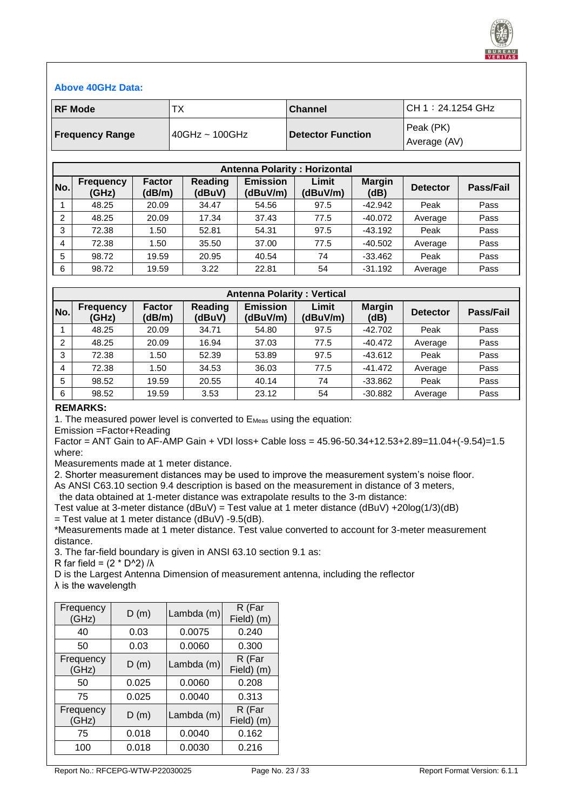![](_page_22_Picture_0.jpeg)

#### **Above 40GHz Data:**

| <b>RF Mode</b>         | ТX             | <b>Channel</b>           | CH 1:24.1254 GHz |  |
|------------------------|----------------|--------------------------|------------------|--|
|                        |                | <b>Detector Function</b> | l Peak (PK).     |  |
| <b>Frequency Range</b> | 40GHz ~ 100GHz |                          | Average (AV)     |  |

|                | <b>Antenna Polarity: Horizontal</b> |                         |                          |                             |                   |                       |                 |           |  |  |
|----------------|-------------------------------------|-------------------------|--------------------------|-----------------------------|-------------------|-----------------------|-----------------|-----------|--|--|
| No.            | <b>Frequency</b><br>(GHz)           | <b>Factor</b><br>(dB/m) | <b>Reading</b><br>(dBuV) | <b>Emission</b><br>(dBuV/m) | Limit<br>(dBuV/m) | <b>Margin</b><br>(dB) | <b>Detector</b> | Pass/Fail |  |  |
|                | 48.25                               | 20.09                   | 34.47                    | 54.56                       | 97.5              | $-42.942$             | Peak            | Pass      |  |  |
| 2              | 48.25                               | 20.09                   | 17.34                    | 37.43                       | 77.5              | $-40.072$             | Average         | Pass      |  |  |
| 3              | 72.38                               | 1.50                    | 52.81                    | 54.31                       | 97.5              | $-43.192$             | Peak            | Pass      |  |  |
| $\overline{4}$ | 72.38                               | 1.50                    | 35.50                    | 37.00                       | 77.5              | $-40.502$             | Average         | Pass      |  |  |
| 5              | 98.72                               | 19.59                   | 20.95                    | 40.54                       | 74                | $-33.462$             | Peak            | Pass      |  |  |
| 6              | 98.72                               | 19.59                   | 3.22                     | 22.81                       | 54                | $-31.192$             | Average         | Pass      |  |  |

|                | <b>Antenna Polarity: Vertical</b> |                         |                   |                             |                   |                       |                 |                  |  |  |
|----------------|-----------------------------------|-------------------------|-------------------|-----------------------------|-------------------|-----------------------|-----------------|------------------|--|--|
| No.            | <b>Frequency</b><br>(GHz)         | <b>Factor</b><br>(dB/m) | Reading<br>(dBuV) | <b>Emission</b><br>(dBuV/m) | Limit<br>(dBuV/m) | <b>Margin</b><br>(dB) | <b>Detector</b> | <b>Pass/Fail</b> |  |  |
|                | 48.25                             | 20.09                   | 34.71             | 54.80                       | 97.5              | $-42.702$             | Peak            | Pass             |  |  |
| $\overline{2}$ | 48.25                             | 20.09                   | 16.94             | 37.03                       | 77.5              | $-40.472$             | Average         | Pass             |  |  |
| 3              | 72.38                             | 1.50                    | 52.39             | 53.89                       | 97.5              | $-43.612$             | Peak            | Pass             |  |  |
| 4              | 72.38                             | 1.50                    | 34.53             | 36.03                       | 77.5              | $-41.472$             | Average         | Pass             |  |  |
| 5              | 98.52                             | 19.59                   | 20.55             | 40.14                       | 74                | $-33.862$             | Peak            | Pass             |  |  |
| 6              | 98.52                             | 19.59                   | 3.53              | 23.12                       | 54                | $-30.882$             | Average         | Pass             |  |  |

#### **REMARKS:**

1. The measured power level is converted to E<sub>Meas</sub> using the equation:

Emission =Factor+Reading

Factor = ANT Gain to AF-AMP Gain + VDI loss+ Cable loss = 45.96-50.34+12.53+2.89=11.04+(-9.54)=1.5 where:

Measurements made at 1 meter distance.

2. Shorter measurement distances may be used to improve the measurement system's noise floor.

As ANSI C63.10 section 9.4 description is based on the measurement in distance of 3 meters,

the data obtained at 1-meter distance was extrapolate results to the 3-m distance:

Test value at 3-meter distance (dBuV) = Test value at 1 meter distance (dBuV) +20log(1/3)(dB)  $=$  Test value at 1 meter distance (dBuV) -9.5(dB).

\*Measurements made at 1 meter distance. Test value converted to account for 3-meter measurement distance.

3. The far-field boundary is given in ANSI 63.10 section 9.1 as:

R far field =  $(2 * D^2)/\lambda$ 

D is the Largest Antenna Dimension of measurement antenna, including the reflector λ is the wavelength

| Frequency<br>(GHz) | D(m)  | Lambda (m) | R (Far<br>Field) (m) |
|--------------------|-------|------------|----------------------|
| 40                 | 0.03  | 0.0075     | 0.240                |
| 50                 | 0.03  | 0.0060     | 0.300                |
| Frequency<br>(GHz) | D(m)  | Lambda (m) | R (Far<br>Field) (m) |
| 50                 | 0.025 | 0.0060     | 0.208                |
| 75                 | 0.025 | 0.0040     | 0.313                |
| Frequency<br>(GHz) | D(m)  | Lambda (m) | R (Far<br>Field) (m) |
| 75                 | 0.018 | 0.0040     | 0.162                |
| 100                | 0.018 | 0.0030     | 0.216                |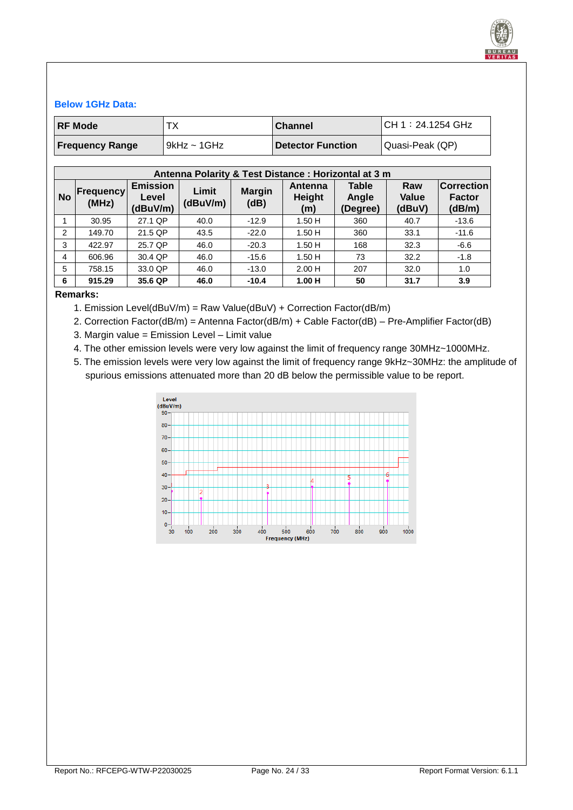![](_page_23_Picture_0.jpeg)

#### **Below 1GHz Data:**

| <b>RF Mode</b>         | ТX           | <b>Channel</b>           | CH 1:24.1254 GHz |
|------------------------|--------------|--------------------------|------------------|
| <b>Frequency Range</b> | '9kHz ~ 1GHz | <b>Detector Function</b> | Quasi-Peak (QP)  |

|           | Antenna Polarity & Test Distance : Horizontal at 3 m |                                      |                   |                                                                                                                         |       |                                              |      |         |  |  |  |
|-----------|------------------------------------------------------|--------------------------------------|-------------------|-------------------------------------------------------------------------------------------------------------------------|-------|----------------------------------------------|------|---------|--|--|--|
| <b>No</b> | Frequency<br>(MHz)                                   | <b>Emission</b><br>Level<br>(dBuV/m) | Limit<br>(dBuV/m) | <b>Table</b><br>Raw<br>Antenna<br><b>Margin</b><br>Height<br><b>Value</b><br>Angle<br>(dB)<br>(dBuV)<br>(Degree)<br>(m) |       | <b>Correction</b><br><b>Factor</b><br>(dB/m) |      |         |  |  |  |
|           | 30.95                                                | 27.1 QP                              | 40.0              | $-12.9$                                                                                                                 | 1.50H | 360                                          | 40.7 | $-13.6$ |  |  |  |
| 2         | 149.70                                               | 21.5 QP                              | 43.5              | $-22.0$                                                                                                                 | 1.50H | 360                                          | 33.1 | $-11.6$ |  |  |  |
| 3         | 422.97                                               | 25.7 QP                              | 46.0              | $-20.3$                                                                                                                 | 1.50H | 168                                          | 32.3 | $-6.6$  |  |  |  |
| 4         | 606.96                                               | 30.4 QP                              | 46.0              | $-15.6$                                                                                                                 | 1.50H | 73                                           | 32.2 | $-1.8$  |  |  |  |
| 5         | 758.15                                               | 33.0 QP                              | 46.0              | $-13.0$                                                                                                                 | 2.00H | 207                                          | 32.0 | 1.0     |  |  |  |
| 6         | 915.29                                               | 35.6 QP                              | 46.0              | $-10.4$                                                                                                                 | 1.00H | 50                                           | 31.7 | 3.9     |  |  |  |

#### **Remarks:**

- 1. Emission Level(dBuV/m) = Raw Value(dBuV) + Correction Factor(dB/m)
- 2. Correction Factor(dB/m) = Antenna Factor(dB/m) + Cable Factor(dB) Pre-Amplifier Factor(dB)
- 3. Margin value = Emission Level Limit value
- 4. The other emission levels were very low against the limit of frequency range 30MHz~1000MHz.
- 5. The emission levels were very low against the limit of frequency range 9kHz~30MHz: the amplitude of spurious emissions attenuated more than 20 dB below the permissible value to be report.

![](_page_23_Figure_10.jpeg)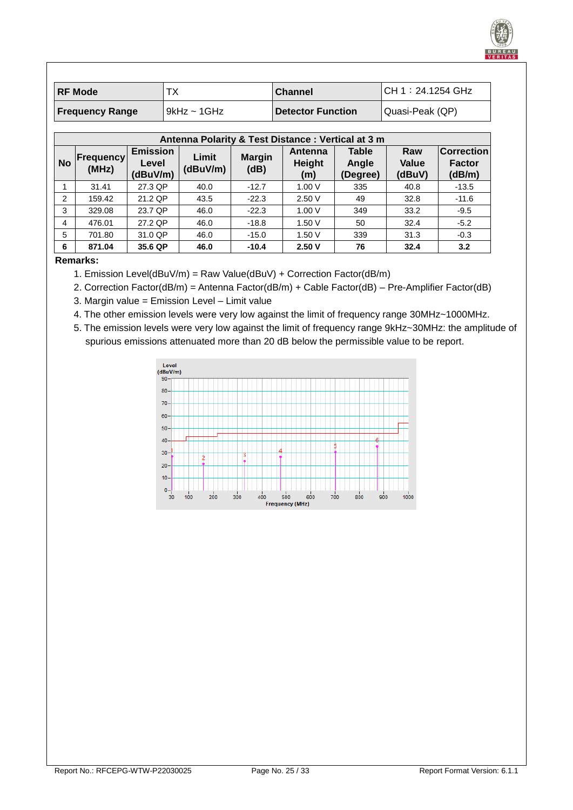| <b>RF Mode</b>         |                  | <b>Channel</b>           | CH 1:24.1254 GHz |
|------------------------|------------------|--------------------------|------------------|
| <b>Frequency Range</b> | $9kHz \sim 1GHz$ | <b>Detector Function</b> | Quasi-Peak (QP)  |

|           | Antenna Polarity & Test Distance: Vertical at 3 m |                                      |                                            |         |                          |                                   |                               |                                              |  |  |  |
|-----------|---------------------------------------------------|--------------------------------------|--------------------------------------------|---------|--------------------------|-----------------------------------|-------------------------------|----------------------------------------------|--|--|--|
| <b>No</b> | <b>Frequency</b><br>(MHz)                         | <b>Emission</b><br>Level<br>(dBuV/m) | Limit<br><b>Margin</b><br>(dBuV/m)<br>(dB) |         | Antenna<br>Height<br>(m) | <b>Table</b><br>Angle<br>(Degree) | Raw<br><b>Value</b><br>(dBuV) | <b>Correction</b><br><b>Factor</b><br>(dB/m) |  |  |  |
|           | 31.41                                             | 27.3 QP                              | 40.0                                       | $-12.7$ | 1.00V                    | 335                               | 40.8                          | $-13.5$                                      |  |  |  |
| 2         | 159.42                                            | 21.2 QP                              | 43.5                                       | $-22.3$ | 2.50V                    | 49                                | 32.8                          | $-11.6$                                      |  |  |  |
| 3         | 329.08                                            | 23.7 QP                              | $-22.3$<br>1.00V<br>349<br>46.0            |         | 33.2                     | $-9.5$                            |                               |                                              |  |  |  |
| 4         | 476.01                                            | 27.2 QP                              | 46.0                                       | $-18.8$ | 1.50V                    | 50                                | 32.4                          | $-5.2$                                       |  |  |  |
| 5         | 701.80                                            | 31.0 QP                              | 46.0                                       | $-15.0$ | 1.50V                    | 339                               | 31.3                          | $-0.3$                                       |  |  |  |
| 6         | 871.04                                            | 35.6 QP                              | 46.0                                       | $-10.4$ | 2.50V                    | 76                                | 32.4                          | 3.2                                          |  |  |  |

**Remarks:**

1. Emission Level(dBuV/m) = Raw Value(dBuV) + Correction Factor(dB/m)

2. Correction Factor(dB/m) = Antenna Factor(dB/m) + Cable Factor(dB) – Pre-Amplifier Factor(dB)

3. Margin value = Emission Level – Limit value

4. The other emission levels were very low against the limit of frequency range 30MHz~1000MHz.

5. The emission levels were very low against the limit of frequency range 9kHz~30MHz: the amplitude of spurious emissions attenuated more than 20 dB below the permissible value to be report.

![](_page_24_Figure_8.jpeg)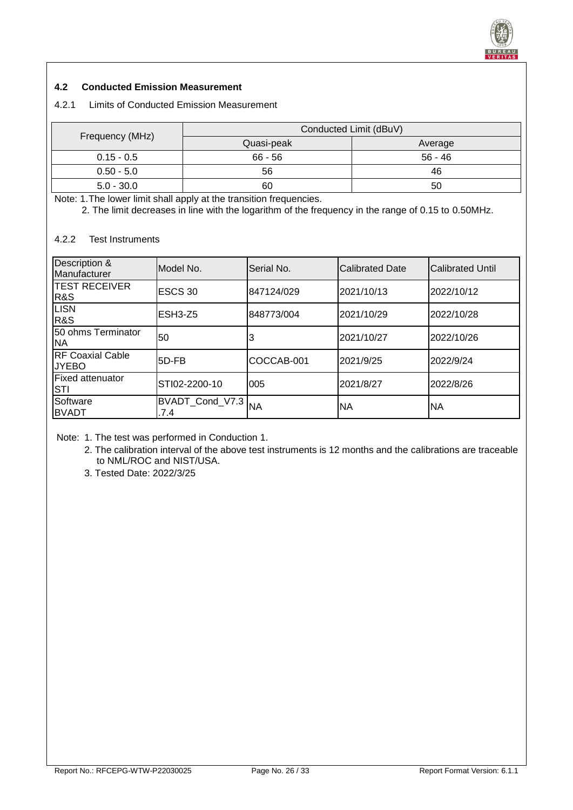![](_page_25_Picture_0.jpeg)

#### <span id="page-25-0"></span>**4.2 Conducted Emission Measurement**

## <span id="page-25-1"></span>4.2.1 Limits of Conducted Emission Measurement

|                 | Conducted Limit (dBuV) |         |  |  |  |  |
|-----------------|------------------------|---------|--|--|--|--|
| Frequency (MHz) | Quasi-peak             | Average |  |  |  |  |
| $0.15 - 0.5$    | $66 - 56$              | 56 - 46 |  |  |  |  |
| $0.50 - 5.0$    | 56                     | 46      |  |  |  |  |
| $5.0 - 30.0$    | 60                     | 50      |  |  |  |  |

Note: 1.The lower limit shall apply at the transition frequencies.

2. The limit decreases in line with the logarithm of the frequency in the range of 0.15 to 0.50MHz.

## <span id="page-25-2"></span>4.2.2 Test Instruments

| Description &<br>Manufacturer           | Model No.               | lSerial No. | <b>Calibrated Date</b> | <b>ICalibrated Until</b> |
|-----------------------------------------|-------------------------|-------------|------------------------|--------------------------|
| <b>ITEST RECEIVER</b><br><b>R&amp;S</b> | ESCS 30                 | 847124/029  | 2021/10/13             | 2022/10/12               |
| <b>LISN</b><br><b>R&amp;S</b>           | IESH3-Z5                | 848773/004  | 2021/10/29             | 2022/10/28               |
| 50 ohms Terminator<br>INA               | 50                      |             | 2021/10/27             | 2022/10/26               |
| <b>RF Coaxial Cable</b><br><b>JYEBO</b> | 5D-FB                   | COCCAB-001  | 2021/9/25              | 2022/9/24                |
| lFixed attenuator<br>ISTI               | STI02-2200-10           | 005         | 2021/8/27              | 2022/8/26                |
| Software<br><b>BVADT</b>                | BVADT_Cond_V7.3<br>.7.4 | <b>NA</b>   | INA                    | NΑ                       |

Note: 1. The test was performed in Conduction 1.

2. The calibration interval of the above test instruments is 12 months and the calibrations are traceable to NML/ROC and NIST/USA.

3. Tested Date: 2022/3/25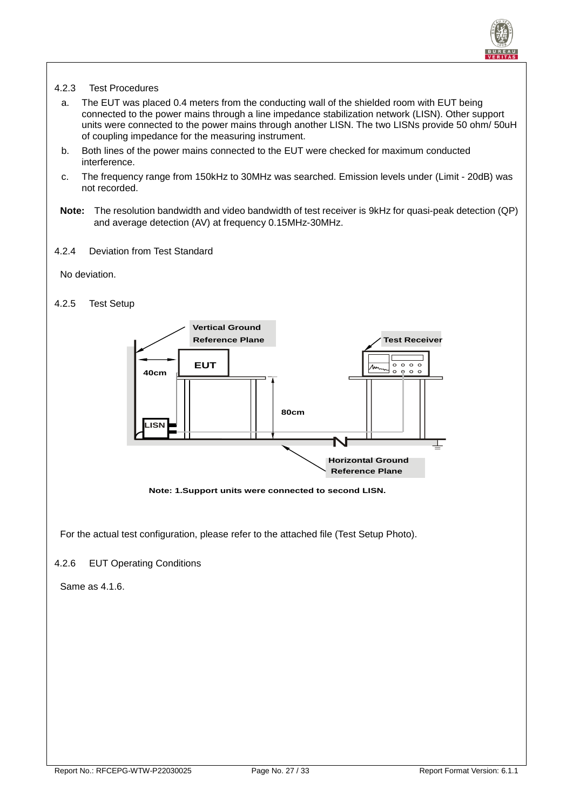![](_page_26_Picture_0.jpeg)

#### <span id="page-26-0"></span>4.2.3 Test Procedures

- a. The EUT was placed 0.4 meters from the conducting wall of the shielded room with EUT being connected to the power mains through a line impedance stabilization network (LISN). Other support units were connected to the power mains through another LISN. The two LISNs provide 50 ohm/ 50uH of coupling impedance for the measuring instrument.
- b. Both lines of the power mains connected to the EUT were checked for maximum conducted interference.
- c. The frequency range from 150kHz to 30MHz was searched. Emission levels under (Limit 20dB) was not recorded.
- **Note:** The resolution bandwidth and video bandwidth of test receiver is 9kHz for quasi-peak detection (QP) and average detection (AV) at frequency 0.15MHz-30MHz.
- <span id="page-26-1"></span>4.2.4 Deviation from Test Standard

No deviation.

#### <span id="page-26-2"></span>4.2.5 Test Setup

![](_page_26_Figure_9.jpeg)

**Note: 1.Support units were connected to second LISN.**

For the actual test configuration, please refer to the attached file (Test Setup Photo).

#### <span id="page-26-3"></span>4.2.6 EUT Operating Conditions

Same as 4.1.6.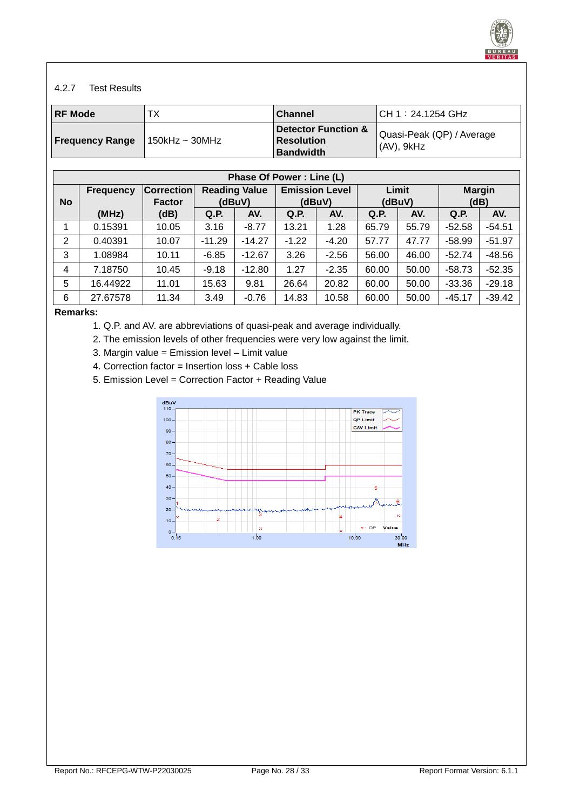![](_page_27_Picture_0.jpeg)

#### <span id="page-27-0"></span>4.2.7 Test Results

| <b>RF Mode</b>         | ТX                | <b>Channel</b>                                               | CH 1:24.1254 GHz                         |
|------------------------|-------------------|--------------------------------------------------------------|------------------------------------------|
| <b>Frequency Range</b> | $150$ kHz ~ 30MHz | Detector Function &<br><b>Resolution</b><br><b>Bandwidth</b> | Quasi-Peak (QP) / Average<br> (AV), 9kHz |

|           | Phase Of Power: Line (L) |                                    |          |                                |         |                                 |       |                 |          |                       |  |
|-----------|--------------------------|------------------------------------|----------|--------------------------------|---------|---------------------------------|-------|-----------------|----------|-----------------------|--|
| <b>No</b> | <b>Frequency</b>         | <b>Correction</b><br><b>Factor</b> |          | <b>Reading Value</b><br>(dBuV) |         | <b>Emission Level</b><br>(dBuV) |       | Limit<br>(dBuV) |          | <b>Margin</b><br>(dB) |  |
|           | (MHz)                    | (dB)                               | Q.P.     | AV.                            | Q.P.    | AV.                             | Q.P.  | AV.             | Q.P.     | AV.                   |  |
|           | 0.15391                  | 10.05                              | 3.16     | $-8.77$                        | 13.21   | 1.28                            | 65.79 | 55.79           | $-52.58$ | $-54.51$              |  |
| 2         | 0.40391                  | 10.07                              | $-11.29$ | $-14.27$                       | $-1.22$ | $-4.20$                         | 57.77 | 47.77           | $-58.99$ | $-51.97$              |  |
| 3         | 1.08984                  | 10.11                              | $-6.85$  | $-12.67$                       | 3.26    | $-2.56$                         | 56.00 | 46.00           | $-52.74$ | $-48.56$              |  |
| 4         | 7.18750                  | 10.45                              | $-9.18$  | $-12.80$                       | 1.27    | $-2.35$                         | 60.00 | 50.00           | $-58.73$ | $-52.35$              |  |
| 5         | 16.44922                 | 11.01                              | 15.63    | 9.81                           | 26.64   | 20.82                           | 60.00 | 50.00           | $-33.36$ | $-29.18$              |  |
| 6         | 27.67578                 | 11.34                              | 3.49     | $-0.76$                        | 14.83   | 10.58                           | 60.00 | 50.00           | $-45.17$ | $-39.42$              |  |

#### **Remarks:**

- 1. Q.P. and AV. are abbreviations of quasi-peak and average individually.
- 2. The emission levels of other frequencies were very low against the limit.
- 3. Margin value = Emission level Limit value
- 4. Correction factor = Insertion loss + Cable loss
- 5. Emission Level = Correction Factor + Reading Value

![](_page_27_Figure_10.jpeg)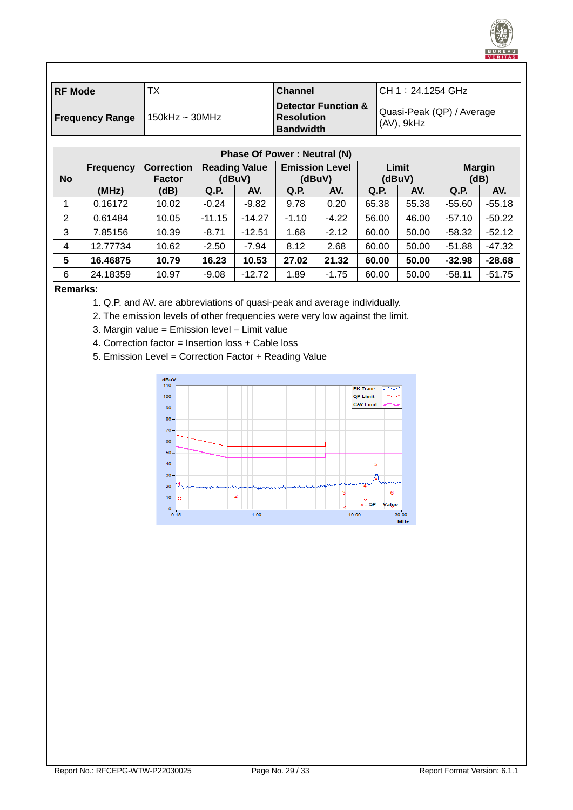| ∣RF Mode               | ТX                  | <b>Channel</b>                                                          | CH 1:24.1254 GHz                           |
|------------------------|---------------------|-------------------------------------------------------------------------|--------------------------------------------|
| <b>Frequency Range</b> | 150kHz $\sim$ 30MHz | <b>Detector Function &amp;</b><br><b>Resolution</b><br><b>Bandwidth</b> | Quasi-Peak (QP) / Average<br>$(AV)$ , 9kHz |

|                | <b>Phase Of Power: Neutral (N)</b> |                                    |                                |          |                                 |         |                 |       |                       |          |
|----------------|------------------------------------|------------------------------------|--------------------------------|----------|---------------------------------|---------|-----------------|-------|-----------------------|----------|
| <b>No</b>      | <b>Frequency</b>                   | <b>Correction</b><br><b>Factor</b> | <b>Reading Value</b><br>(dBuV) |          | <b>Emission Level</b><br>(dBuV) |         | Limit<br>(dBuV) |       | <b>Margin</b><br>(dB) |          |
|                |                                    |                                    |                                |          |                                 |         |                 |       |                       |          |
|                | (MHz)                              | (dB)                               | Q.P.                           | AV.      | Q.P.                            | AV.     | Q.P.            | AV.   | Q.P.                  | AV.      |
|                | 0.16172                            | 10.02                              | $-0.24$                        | $-9.82$  | 9.78                            | 0.20    | 65.38           | 55.38 | $-55.60$              | $-55.18$ |
| $\overline{2}$ | 0.61484                            | 10.05                              | $-11.15$                       | $-14.27$ | $-1.10$                         | $-4.22$ | 56.00           | 46.00 | $-57.10$              | $-50.22$ |
| 3              | 7.85156                            | 10.39                              | $-8.71$                        | $-12.51$ | 1.68                            | $-2.12$ | 60.00           | 50.00 | $-58.32$              | $-52.12$ |
| 4              | 12.77734                           | 10.62                              | $-2.50$                        | $-7.94$  | 8.12                            | 2.68    | 60.00           | 50.00 | $-51.88$              | $-47.32$ |
| 5              | 16.46875                           | 10.79                              | 16.23                          | 10.53    | 27.02                           | 21.32   | 60.00           | 50.00 | $-32.98$              | $-28.68$ |
| 6              | 24.18359                           | 10.97                              | $-9.08$                        | $-12.72$ | 1.89                            | $-1.75$ | 60.00           | 50.00 | $-58.11$              | $-51.75$ |

#### **Remarks:**

- 1. Q.P. and AV. are abbreviations of quasi-peak and average individually.
- 2. The emission levels of other frequencies were very low against the limit.
- 3. Margin value = Emission level Limit value
- 4. Correction factor = Insertion loss + Cable loss
- 5. Emission Level = Correction Factor + Reading Value

![](_page_28_Figure_8.jpeg)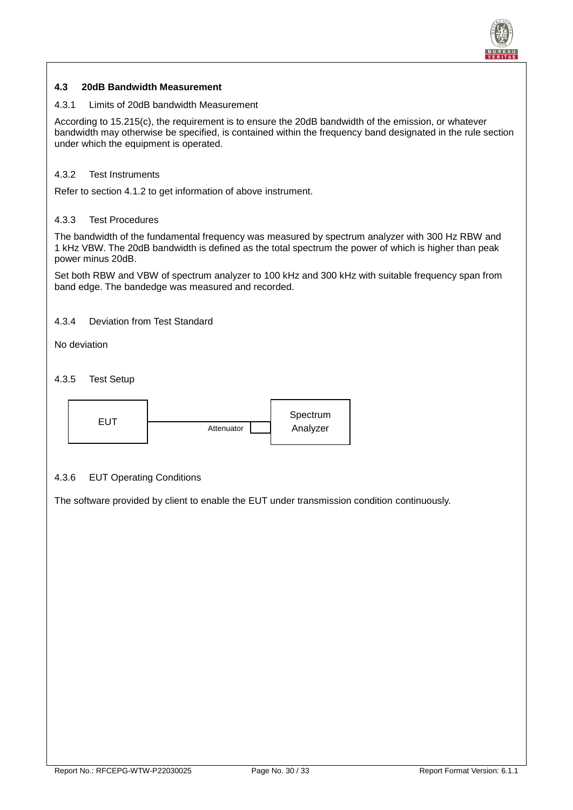![](_page_29_Picture_0.jpeg)

#### <span id="page-29-0"></span>**4.3 20dB Bandwidth Measurement**

#### <span id="page-29-1"></span>4.3.1 Limits of 20dB bandwidth Measurement

According to 15.215(c), the requirement is to ensure the 20dB bandwidth of the emission, or whatever bandwidth may otherwise be specified, is contained within the frequency band designated in the rule section under which the equipment is operated.

#### <span id="page-29-2"></span>4.3.2 Test Instruments

Refer to section 4.1.2 to get information of above instrument.

#### <span id="page-29-3"></span>4.3.3 Test Procedures

The bandwidth of the fundamental frequency was measured by spectrum analyzer with 300 Hz RBW and 1 kHz VBW. The 20dB bandwidth is defined as the total spectrum the power of which is higher than peak power minus 20dB.

Set both RBW and VBW of spectrum analyzer to 100 kHz and 300 kHz with suitable frequency span from band edge. The bandedge was measured and recorded.

#### <span id="page-29-4"></span>4.3.4 Deviation from Test Standard

No deviation

#### <span id="page-29-5"></span>4.3.5 Test Setup

![](_page_29_Figure_12.jpeg)

#### <span id="page-29-6"></span>4.3.6 EUT Operating Conditions

The software provided by client to enable the EUT under transmission condition continuously.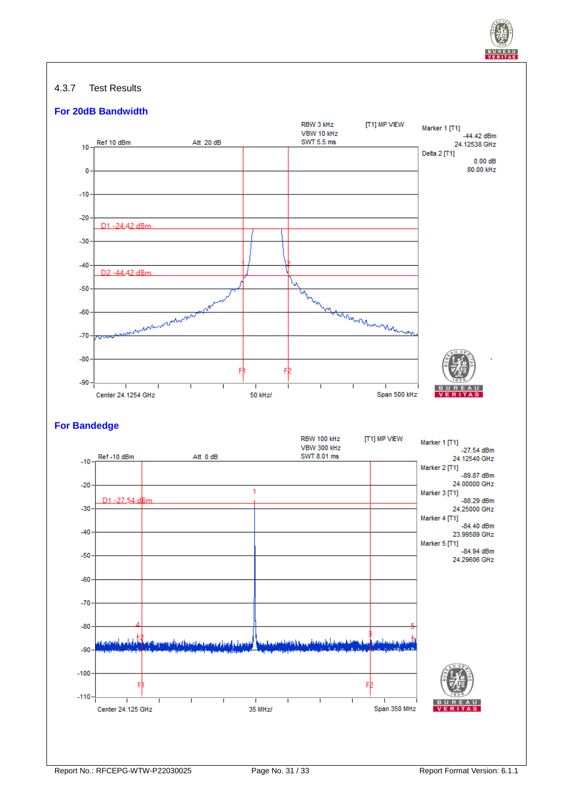![](_page_30_Picture_0.jpeg)

#### <span id="page-30-0"></span>4.3.7 Test Results

![](_page_30_Figure_2.jpeg)

#### **For Bandedge**

![](_page_30_Figure_4.jpeg)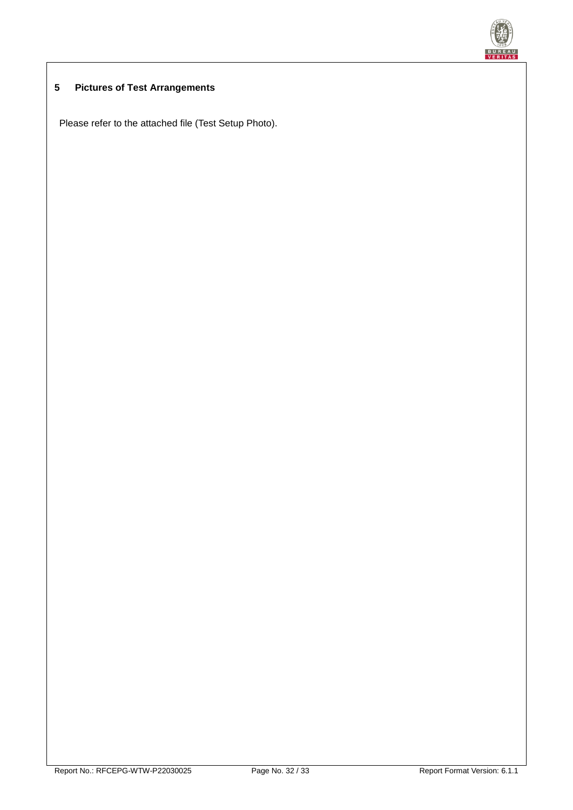![](_page_31_Picture_0.jpeg)

# <span id="page-31-0"></span>**5 Pictures of Test Arrangements**

Please refer to the attached file (Test Setup Photo).